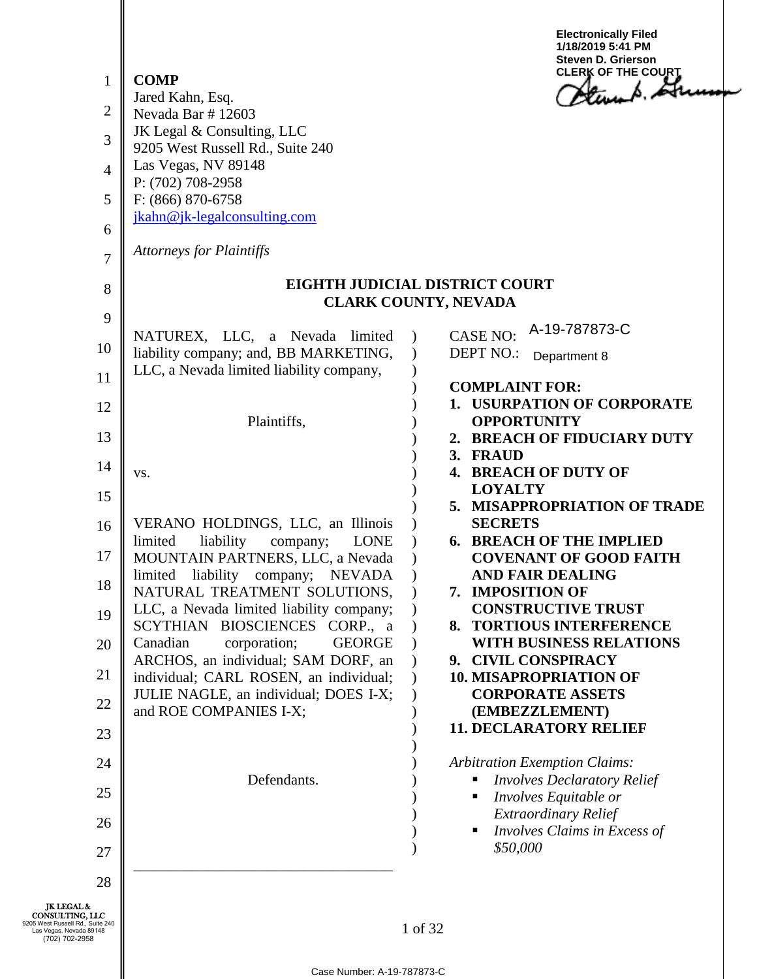| $\mathbf{1}$<br>$\overline{2}$<br>3<br>$\overline{4}$<br>5<br>6<br>$\overline{7}$<br>8<br>9                              | <b>COMP</b><br>Jared Kahn, Esq.<br>Nevada Bar #12603<br>JK Legal & Consulting, LLC<br>9205 West Russell Rd., Suite 240<br>Las Vegas, NV 89148<br>P: (702) 708-2958<br>F: (866) 870-6758<br>jkahn@jk-legalconsulting.com<br><b>Attorneys for Plaintiffs</b><br>NATUREX, LLC, a Nevada limited | <b>Electronically Filed</b><br>1/18/2019 5:41 PM<br><b>Steven D. Grierson</b><br><b>CLERK OF THE COURT</b><br>Stewart Lite<br>EIGHTH JUDICIAL DISTRICT COURT<br><b>CLARK COUNTY, NEVADA</b><br>A-19-787873-C<br><b>CASE NO:</b> |
|--------------------------------------------------------------------------------------------------------------------------|----------------------------------------------------------------------------------------------------------------------------------------------------------------------------------------------------------------------------------------------------------------------------------------------|---------------------------------------------------------------------------------------------------------------------------------------------------------------------------------------------------------------------------------|
| 10                                                                                                                       | liability company; and, BB MARKETING,                                                                                                                                                                                                                                                        | <b>DEPT NO.:</b><br>Department 8                                                                                                                                                                                                |
| 11                                                                                                                       | LLC, a Nevada limited liability company,                                                                                                                                                                                                                                                     | <b>COMPLAINT FOR:</b>                                                                                                                                                                                                           |
| 12                                                                                                                       | Plaintiffs,                                                                                                                                                                                                                                                                                  | 1. USURPATION OF CORPORATE<br><b>OPPORTUNITY</b>                                                                                                                                                                                |
| 13                                                                                                                       |                                                                                                                                                                                                                                                                                              | 2. BREACH OF FIDUCIARY DUTY<br>3. FRAUD                                                                                                                                                                                         |
| 14                                                                                                                       | VS.                                                                                                                                                                                                                                                                                          | 4. BREACH OF DUTY OF<br><b>LOYALTY</b>                                                                                                                                                                                          |
| 15                                                                                                                       | VERANO HOLDINGS, LLC, an Illinois                                                                                                                                                                                                                                                            | 5. MISAPPROPRIATION OF TRADE<br><b>SECRETS</b>                                                                                                                                                                                  |
| 16<br>17                                                                                                                 | limited<br>liability<br>company;<br><b>LONE</b>                                                                                                                                                                                                                                              | <b>6. BREACH OF THE IMPLIED</b>                                                                                                                                                                                                 |
| 18                                                                                                                       | MOUNTAIN PARTNERS, LLC, a Nevada<br>limited liability company; NEVADA                                                                                                                                                                                                                        | <b>COVENANT OF GOOD FAITH</b><br><b>AND FAIR DEALING</b>                                                                                                                                                                        |
| 19                                                                                                                       | NATURAL TREATMENT SOLUTIONS,<br>LLC, a Nevada limited liability company;                                                                                                                                                                                                                     | 7. IMPOSITION OF<br><b>CONSTRUCTIVE TRUST</b>                                                                                                                                                                                   |
| 20                                                                                                                       | SCYTHIAN BIOSCIENCES CORP., a<br>Canadian<br><b>GEORGE</b><br>corporation;                                                                                                                                                                                                                   | 8. TORTIOUS INTERFERENCE<br><b>WITH BUSINESS RELATIONS</b>                                                                                                                                                                      |
| 21                                                                                                                       | ARCHOS, an individual; SAM DORF, an<br>individual; CARL ROSEN, an individual;                                                                                                                                                                                                                | 9. CIVIL CONSPIRACY<br><b>10. MISAPROPRIATION OF</b>                                                                                                                                                                            |
| 22                                                                                                                       | JULIE NAGLE, an individual; DOES I-X;<br>and ROE COMPANIES I-X;                                                                                                                                                                                                                              | <b>CORPORATE ASSETS</b><br>(EMBEZZLEMENT)                                                                                                                                                                                       |
| 23                                                                                                                       |                                                                                                                                                                                                                                                                                              | <b>11. DECLARATORY RELIEF</b>                                                                                                                                                                                                   |
| 24                                                                                                                       |                                                                                                                                                                                                                                                                                              | <b>Arbitration Exemption Claims:</b>                                                                                                                                                                                            |
| 25                                                                                                                       | Defendants.                                                                                                                                                                                                                                                                                  | <b>Involves Declaratory Relief</b><br>Involves Equitable or                                                                                                                                                                     |
| 26                                                                                                                       |                                                                                                                                                                                                                                                                                              | <b>Extraordinary Relief</b><br>Involves Claims in Excess of                                                                                                                                                                     |
| 27                                                                                                                       |                                                                                                                                                                                                                                                                                              | \$50,000                                                                                                                                                                                                                        |
| 28                                                                                                                       |                                                                                                                                                                                                                                                                                              |                                                                                                                                                                                                                                 |
| <b>JK LEGAL &amp;</b><br>CONSULTING, LLC<br>205 West Russell Rd., Suite 240<br>Las Vegas, Nevada 89148<br>(702) 702-2958 | Case Number: A-19-787873-C                                                                                                                                                                                                                                                                   | 1 of 32                                                                                                                                                                                                                         |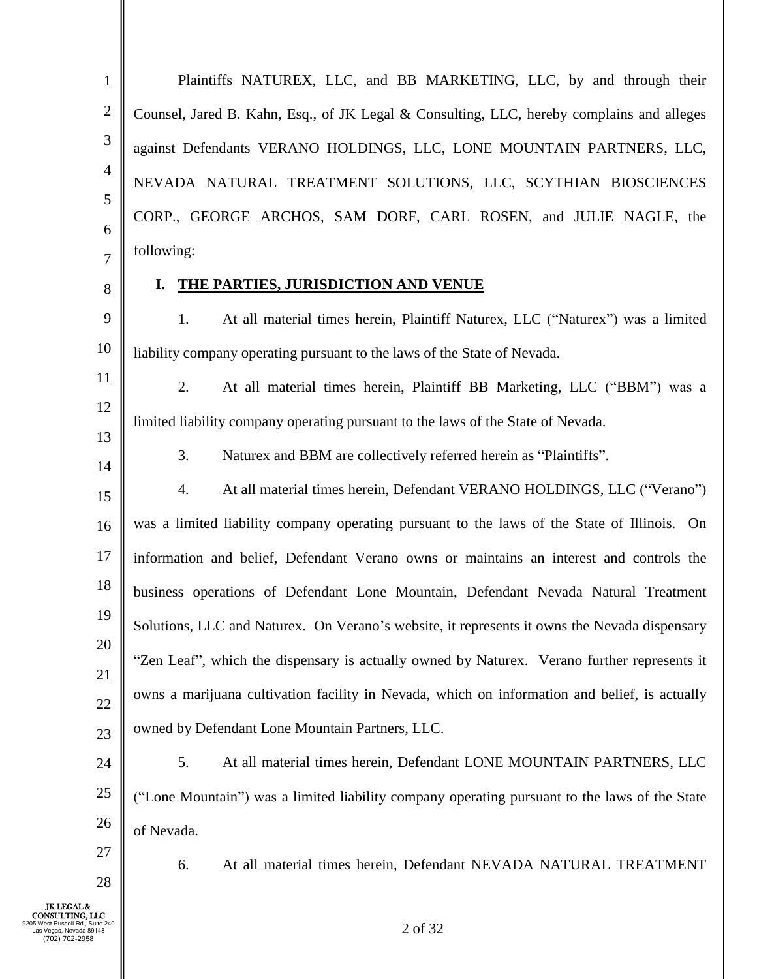1 2 3 4 5 6 7 Plaintiffs NATUREX, LLC, and BB MARKETING, LLC, by and through their Counsel, Jared B. Kahn, Esq., of JK Legal & Consulting, LLC, hereby complains and alleges against Defendants VERANO HOLDINGS, LLC, LONE MOUNTAIN PARTNERS, LLC, NEVADA NATURAL TREATMENT SOLUTIONS, LLC, SCYTHIAN BIOSCIENCES CORP., GEORGE ARCHOS, SAM DORF, CARL ROSEN, and JULIE NAGLE, the following:

8

#### **I. THE PARTIES, JURISDICTION AND VENUE**

9 10 1. At all material times herein, Plaintiff Naturex, LLC ("Naturex") was a limited liability company operating pursuant to the laws of the State of Nevada.

11 12 13 2. At all material times herein, Plaintiff BB Marketing, LLC ("BBM") was a limited liability company operating pursuant to the laws of the State of Nevada.

14

3. Naturex and BBM are collectively referred herein as "Plaintiffs".

15 16 17 18 19 20 21 22 23 4. At all material times herein, Defendant VERANO HOLDINGS, LLC ("Verano") was a limited liability company operating pursuant to the laws of the State of Illinois. On information and belief, Defendant Verano owns or maintains an interest and controls the business operations of Defendant Lone Mountain, Defendant Nevada Natural Treatment Solutions, LLC and Naturex. On Verano's website, it represents it owns the Nevada dispensary "Zen Leaf", which the dispensary is actually owned by Naturex. Verano further represents it owns a marijuana cultivation facility in Nevada, which on information and belief, is actually owned by Defendant Lone Mountain Partners, LLC.

24 25 26 5. At all material times herein, Defendant LONE MOUNTAIN PARTNERS, LLC ("Lone Mountain") was a limited liability company operating pursuant to the laws of the State of Nevada.

6. At all material times herein, Defendant NEVADA NATURAL TREATMENT

JK LEGAL & CONSULTING, LLC 9205 West Russell Rd., Suite 240 Las Vegas, Nevada 89148 (702) 702-2958

27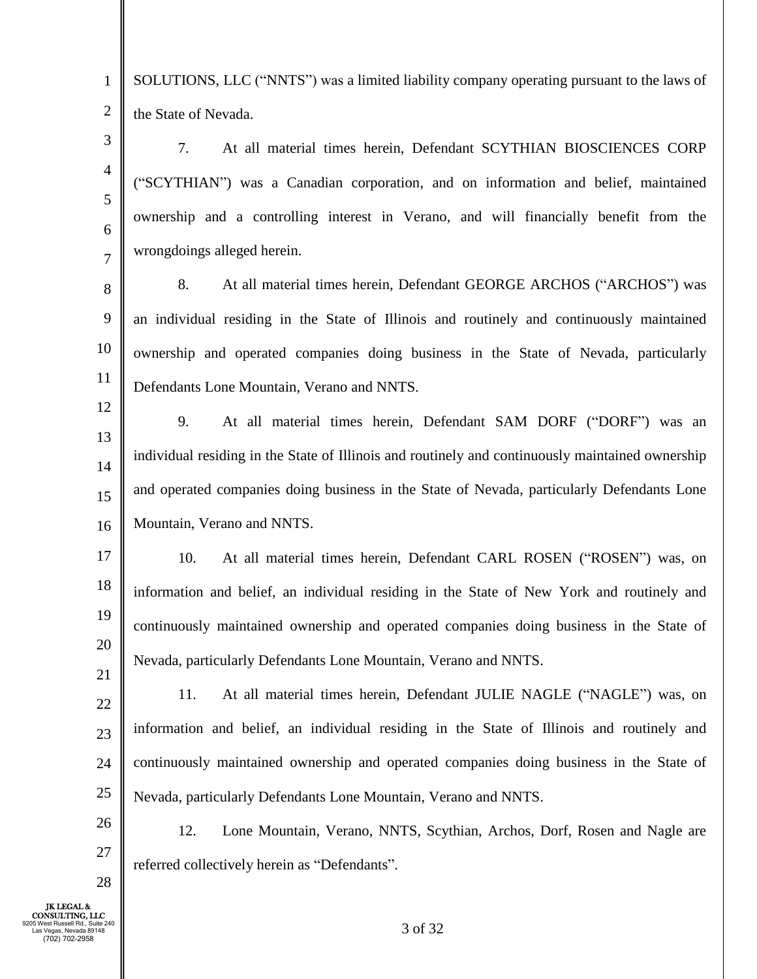1 2 SOLUTIONS, LLC ("NNTS") was a limited liability company operating pursuant to the laws of the State of Nevada.

3 4 5 6 7 7. At all material times herein, Defendant SCYTHIAN BIOSCIENCES CORP ("SCYTHIAN") was a Canadian corporation, and on information and belief, maintained ownership and a controlling interest in Verano, and will financially benefit from the wrongdoings alleged herein.

8 9 10 11 8. At all material times herein, Defendant GEORGE ARCHOS ("ARCHOS") was an individual residing in the State of Illinois and routinely and continuously maintained ownership and operated companies doing business in the State of Nevada, particularly Defendants Lone Mountain, Verano and NNTS.

12 13 14 15 16 9. At all material times herein, Defendant SAM DORF ("DORF") was an individual residing in the State of Illinois and routinely and continuously maintained ownership and operated companies doing business in the State of Nevada, particularly Defendants Lone Mountain, Verano and NNTS.

17 18 19 20 10. At all material times herein, Defendant CARL ROSEN ("ROSEN") was, on information and belief, an individual residing in the State of New York and routinely and continuously maintained ownership and operated companies doing business in the State of Nevada, particularly Defendants Lone Mountain, Verano and NNTS.

21 22 23 24 25 11. At all material times herein, Defendant JULIE NAGLE ("NAGLE") was, on information and belief, an individual residing in the State of Illinois and routinely and continuously maintained ownership and operated companies doing business in the State of Nevada, particularly Defendants Lone Mountain, Verano and NNTS.

26 27 12. Lone Mountain, Verano, NNTS, Scythian, Archos, Dorf, Rosen and Nagle are referred collectively herein as "Defendants".

JK LEGAL & CONSULTING, LLC 9205 West Russell Rd., Suite 240 Las Vegas, Nevada 89148 (702) 702-2958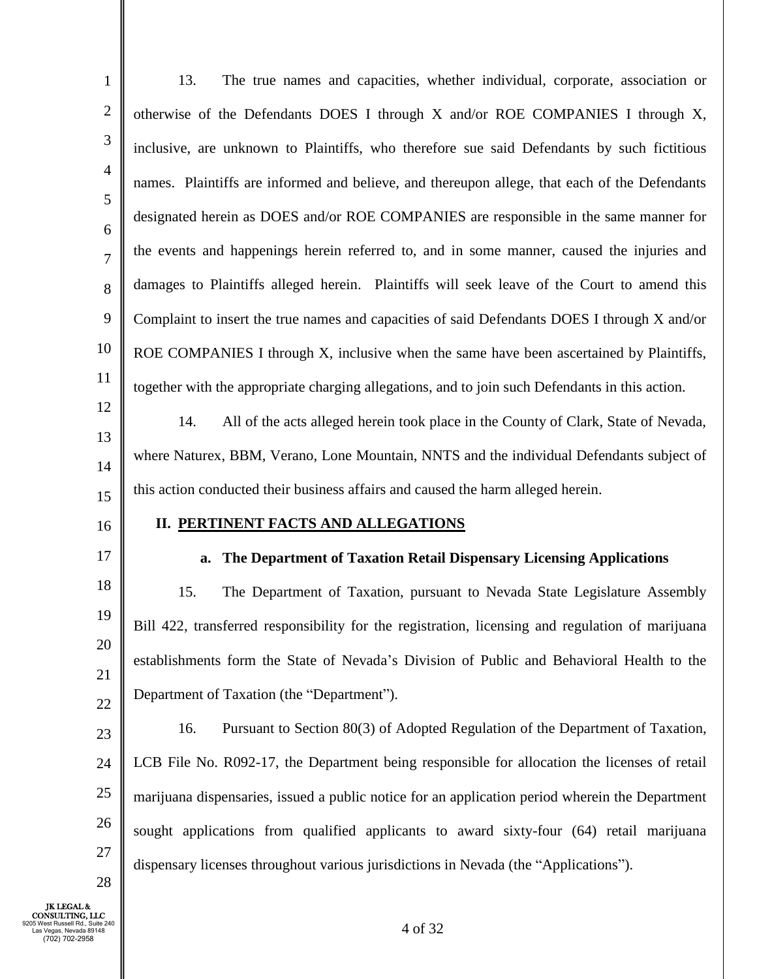| $\mathbf{1}$        | The true names and capacities, whether individual, corporate, association or<br>13.              |
|---------------------|--------------------------------------------------------------------------------------------------|
| $\sqrt{2}$          | otherwise of the Defendants DOES I through X and/or ROE COMPANIES I through X,                   |
| $\mathfrak{Z}$      | inclusive, are unknown to Plaintiffs, who therefore sue said Defendants by such fictitious       |
| $\overline{4}$      | names. Plaintiffs are informed and believe, and thereupon allege, that each of the Defendants    |
| 5                   | designated herein as DOES and/or ROE COMPANIES are responsible in the same manner for            |
| 6<br>$\overline{7}$ | the events and happenings herein referred to, and in some manner, caused the injuries and        |
| 8                   | damages to Plaintiffs alleged herein. Plaintiffs will seek leave of the Court to amend this      |
| 9                   | Complaint to insert the true names and capacities of said Defendants DOES I through X and/or     |
| 10                  | ROE COMPANIES I through X, inclusive when the same have been ascertained by Plaintiffs,          |
| 11                  | together with the appropriate charging allegations, and to join such Defendants in this action.  |
| 12                  | All of the acts alleged herein took place in the County of Clark, State of Nevada,<br>14.        |
| 13                  | where Naturex, BBM, Verano, Lone Mountain, NNTS and the individual Defendants subject of         |
| 14                  | this action conducted their business affairs and caused the harm alleged herein.                 |
| 15                  | <b>II. PERTINENT FACTS AND ALLEGATIONS</b>                                                       |
| 16<br>17            |                                                                                                  |
| 18                  | The Department of Taxation Retail Dispensary Licensing Applications<br>a.                        |
| 19                  | 15.<br>The Department of Taxation, pursuant to Nevada State Legislature Assembly                 |
| 20                  | Bill 422, transferred responsibility for the registration, licensing and regulation of marijuana |
| 21                  | establishments form the State of Nevada's Division of Public and Behavioral Health to the        |
| 22                  | Department of Taxation (the "Department").                                                       |
| 23                  | Pursuant to Section 80(3) of Adopted Regulation of the Department of Taxation,<br>16.            |
| 24                  | LCB File No. R092-17, the Department being responsible for allocation the licenses of retail     |
| 25                  | marijuana dispensaries, issued a public notice for an application period wherein the Department  |
| 26                  | sought applications from qualified applicants to award sixty-four (64) retail marijuana          |
| 27<br>28            | dispensary licenses throughout various jurisdictions in Nevada (the "Applications").             |
|                     |                                                                                                  |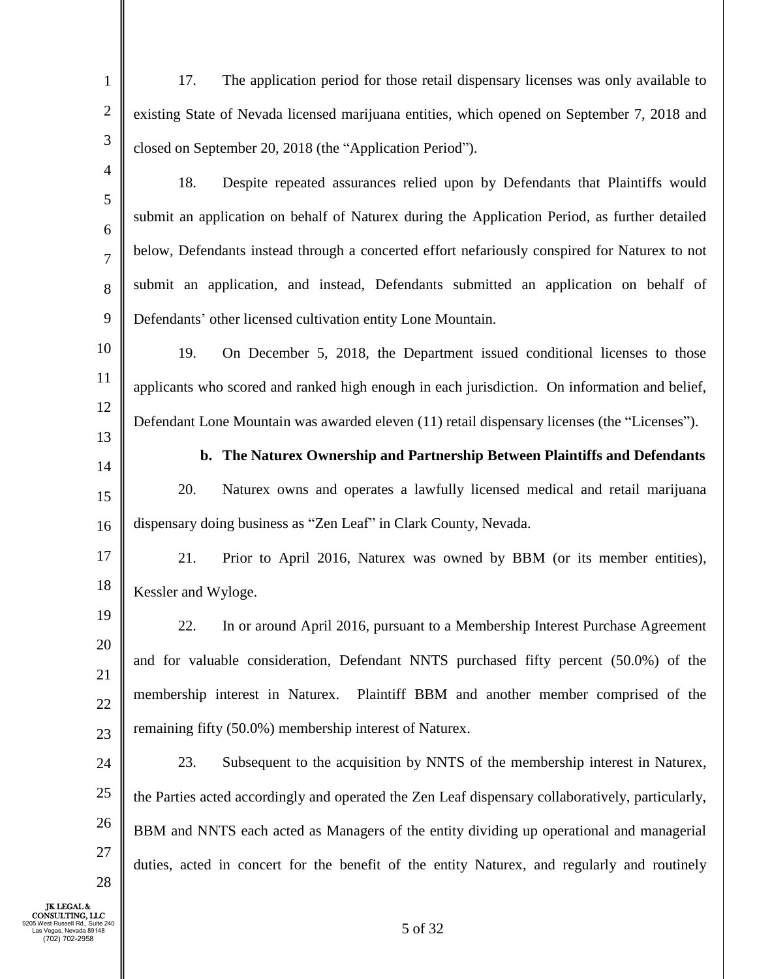- 1 2 3 4 17. The application period for those retail dispensary licenses was only available to existing State of Nevada licensed marijuana entities, which opened on September 7, 2018 and closed on September 20, 2018 (the "Application Period").
- 5 6 7 8 9 18. Despite repeated assurances relied upon by Defendants that Plaintiffs would submit an application on behalf of Naturex during the Application Period, as further detailed below, Defendants instead through a concerted effort nefariously conspired for Naturex to not submit an application, and instead, Defendants submitted an application on behalf of Defendants' other licensed cultivation entity Lone Mountain.
- 10 11 12 13 19. On December 5, 2018, the Department issued conditional licenses to those applicants who scored and ranked high enough in each jurisdiction. On information and belief, Defendant Lone Mountain was awarded eleven (11) retail dispensary licenses (the "Licenses").
- 14

15

16

**b. The Naturex Ownership and Partnership Between Plaintiffs and Defendants** 20. Naturex owns and operates a lawfully licensed medical and retail marijuana

dispensary doing business as "Zen Leaf" in Clark County, Nevada.

17 18 21. Prior to April 2016, Naturex was owned by BBM (or its member entities), Kessler and Wyloge.

19 20 21 22 23 22. In or around April 2016, pursuant to a Membership Interest Purchase Agreement and for valuable consideration, Defendant NNTS purchased fifty percent (50.0%) of the membership interest in Naturex. Plaintiff BBM and another member comprised of the remaining fifty (50.0%) membership interest of Naturex.

24 25 26 27 23. Subsequent to the acquisition by NNTS of the membership interest in Naturex, the Parties acted accordingly and operated the Zen Leaf dispensary collaboratively, particularly, BBM and NNTS each acted as Managers of the entity dividing up operational and managerial duties, acted in concert for the benefit of the entity Naturex, and regularly and routinely

JK LEGAL & CONSULTING, LLC 9205 West Russell Rd., Suite 240 Las Vegas, Nevada 89148 (702) 702-2958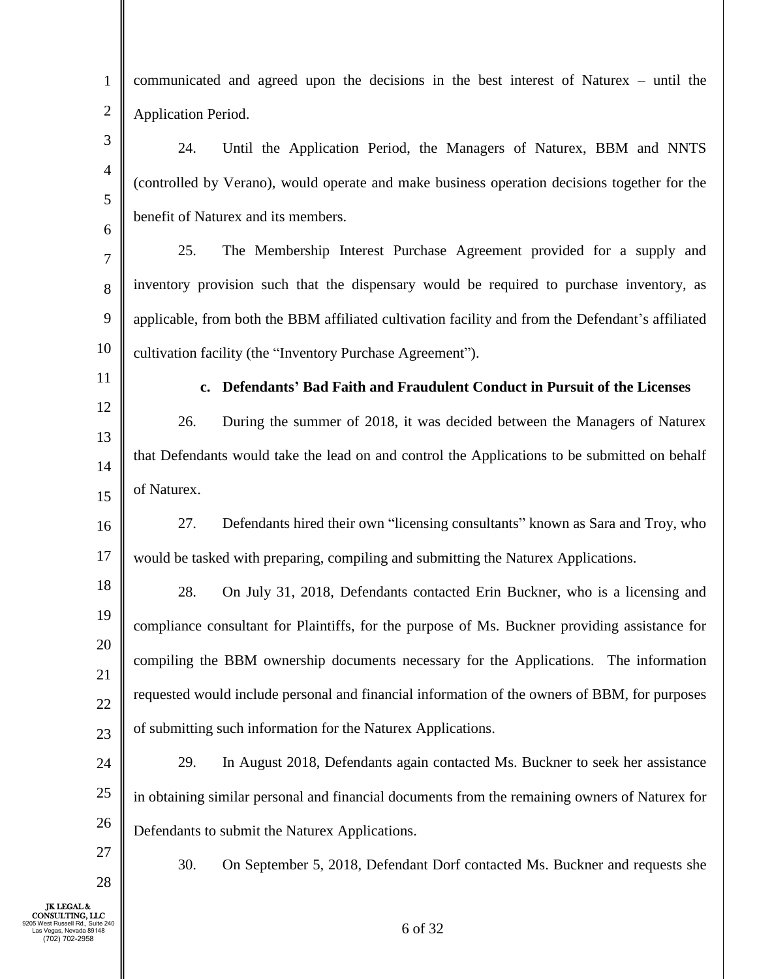| $\mathbf{1}$   | communicated and agreed upon the decisions in the best interest of Naturex – until the            |
|----------------|---------------------------------------------------------------------------------------------------|
| $\mathbf{2}$   | Application Period.                                                                               |
| $\mathfrak{Z}$ | 24.<br>Until the Application Period, the Managers of Naturex, BBM and NNTS                        |
| $\overline{4}$ | (controlled by Verano), would operate and make business operation decisions together for the      |
| 5              | benefit of Naturex and its members.                                                               |
| 6              | 25.<br>The Membership Interest Purchase Agreement provided for a supply and                       |
| 7              | inventory provision such that the dispensary would be required to purchase inventory, as          |
| $8\,$<br>9     |                                                                                                   |
| 10             | applicable, from both the BBM affiliated cultivation facility and from the Defendant's affiliated |
| 11             | cultivation facility (the "Inventory Purchase Agreement").                                        |
| 12             | Defendants' Bad Faith and Fraudulent Conduct in Pursuit of the Licenses<br>$c_{\bullet}$          |
| 13             | 26.<br>During the summer of 2018, it was decided between the Managers of Naturex                  |
| 14             | that Defendants would take the lead on and control the Applications to be submitted on behalf     |
| 15             | of Naturex.                                                                                       |
| 16             | Defendants hired their own "licensing consultants" known as Sara and Troy, who<br>27.             |
| 17             | would be tasked with preparing, compiling and submitting the Naturex Applications.                |
| 18             | 28.<br>On July 31, 2018, Defendants contacted Erin Buckner, who is a licensing and                |
| 19             | compliance consultant for Plaintiffs, for the purpose of Ms. Buckner providing assistance for     |
| 20             | compiling the BBM ownership documents necessary for the Applications. The information             |
| 21             | requested would include personal and financial information of the owners of BBM, for purposes     |
| 22             | of submitting such information for the Naturex Applications.                                      |
| 23<br>24       | In August 2018, Defendants again contacted Ms. Buckner to seek her assistance<br>29.              |
| 25             |                                                                                                   |
| 26             | in obtaining similar personal and financial documents from the remaining owners of Naturex for    |
|                | Defendants to submit the Naturex Applications.                                                    |
| 27<br>28       | 30.<br>On September 5, 2018, Defendant Dorf contacted Ms. Buckner and requests she                |
| шc             |                                                                                                   |

I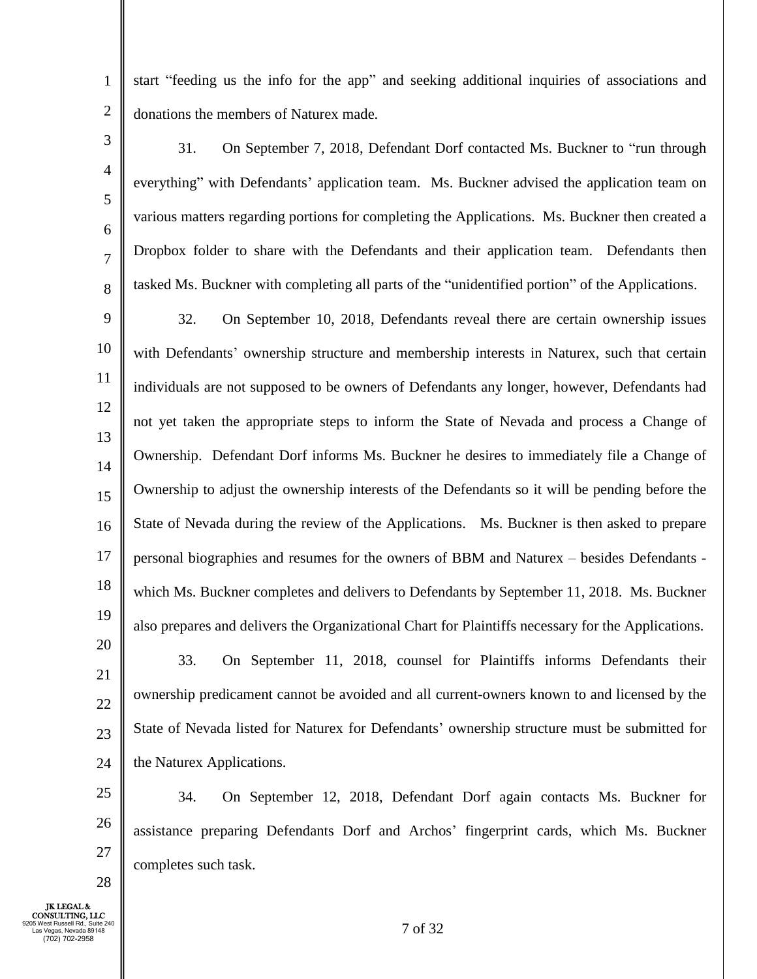start "feeding us the info for the app" and seeking additional inquiries of associations and donations the members of Naturex made.

3 4 5

6

7

8

1

2

31. On September 7, 2018, Defendant Dorf contacted Ms. Buckner to "run through everything" with Defendants' application team. Ms. Buckner advised the application team on various matters regarding portions for completing the Applications. Ms. Buckner then created a Dropbox folder to share with the Defendants and their application team. Defendants then tasked Ms. Buckner with completing all parts of the "unidentified portion" of the Applications.

9 10 11 12 13 14 15 16 17 18 19 20 32. On September 10, 2018, Defendants reveal there are certain ownership issues with Defendants' ownership structure and membership interests in Naturex, such that certain individuals are not supposed to be owners of Defendants any longer, however, Defendants had not yet taken the appropriate steps to inform the State of Nevada and process a Change of Ownership. Defendant Dorf informs Ms. Buckner he desires to immediately file a Change of Ownership to adjust the ownership interests of the Defendants so it will be pending before the State of Nevada during the review of the Applications. Ms. Buckner is then asked to prepare personal biographies and resumes for the owners of BBM and Naturex – besides Defendants which Ms. Buckner completes and delivers to Defendants by September 11, 2018. Ms. Buckner also prepares and delivers the Organizational Chart for Plaintiffs necessary for the Applications.

21 22 23

24

28

33. On September 11, 2018, counsel for Plaintiffs informs Defendants their ownership predicament cannot be avoided and all current-owners known to and licensed by the State of Nevada listed for Naturex for Defendants' ownership structure must be submitted for the Naturex Applications.

25 26 27 34. On September 12, 2018, Defendant Dorf again contacts Ms. Buckner for assistance preparing Defendants Dorf and Archos' fingerprint cards, which Ms. Buckner completes such task.

JK LEGAL & CONSULTING, LLC 9205 West Russell Rd., Suite 240 Las Vegas, Nevada 89148 (702) 702-2958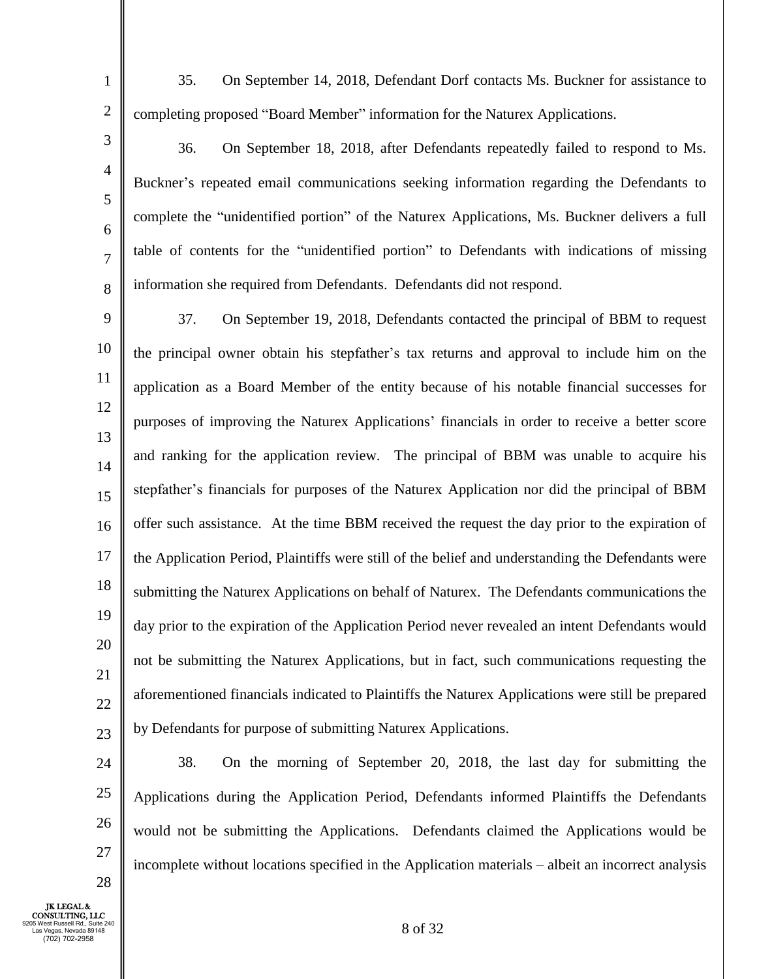- 35. On September 14, 2018, Defendant Dorf contacts Ms. Buckner for assistance to completing proposed "Board Member" information for the Naturex Applications.
- 36. On September 18, 2018, after Defendants repeatedly failed to respond to Ms. Buckner's repeated email communications seeking information regarding the Defendants to complete the "unidentified portion" of the Naturex Applications, Ms. Buckner delivers a full table of contents for the "unidentified portion" to Defendants with indications of missing information she required from Defendants. Defendants did not respond.

9 10 11 12 13 14 15 16 17 18 19 20 21 22 23 37. On September 19, 2018, Defendants contacted the principal of BBM to request the principal owner obtain his stepfather's tax returns and approval to include him on the application as a Board Member of the entity because of his notable financial successes for purposes of improving the Naturex Applications' financials in order to receive a better score and ranking for the application review. The principal of BBM was unable to acquire his stepfather's financials for purposes of the Naturex Application nor did the principal of BBM offer such assistance. At the time BBM received the request the day prior to the expiration of the Application Period, Plaintiffs were still of the belief and understanding the Defendants were submitting the Naturex Applications on behalf of Naturex. The Defendants communications the day prior to the expiration of the Application Period never revealed an intent Defendants would not be submitting the Naturex Applications, but in fact, such communications requesting the aforementioned financials indicated to Plaintiffs the Naturex Applications were still be prepared by Defendants for purpose of submitting Naturex Applications.

24 25 26 27 38. On the morning of September 20, 2018, the last day for submitting the Applications during the Application Period, Defendants informed Plaintiffs the Defendants would not be submitting the Applications. Defendants claimed the Applications would be incomplete without locations specified in the Application materials – albeit an incorrect analysis

JK LEGAL & CONSULTING, LLC 9205 West Russell Rd., Suite 240 Las Vegas, Nevada 89148 (702) 702-2958

28

1

2

3

4

5

6

7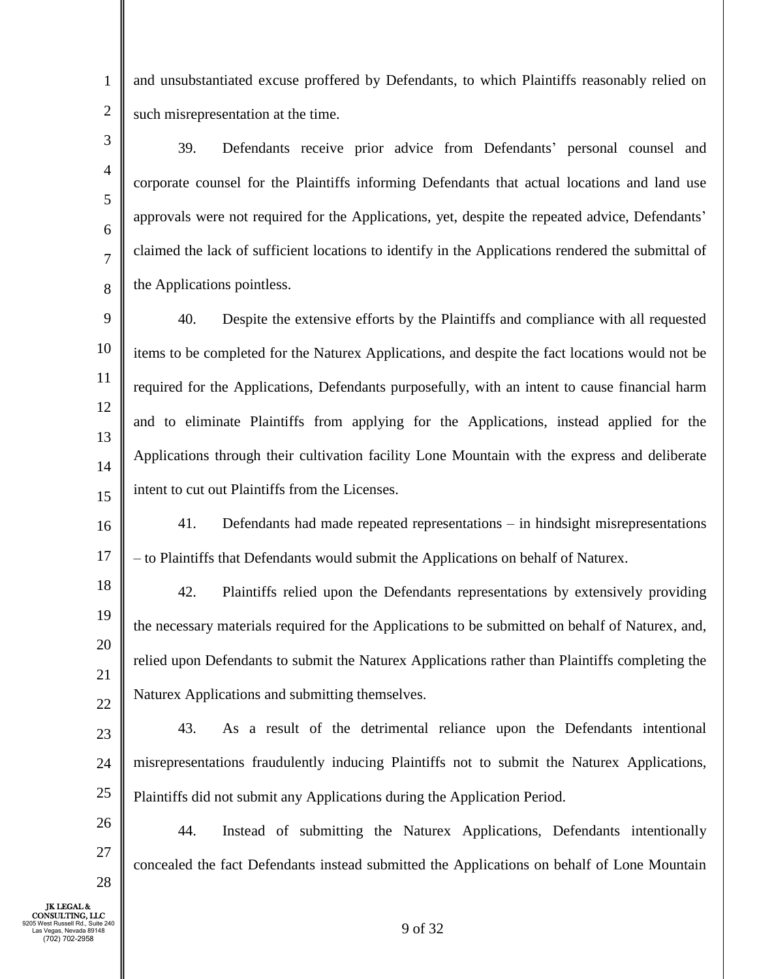and unsubstantiated excuse proffered by Defendants, to which Plaintiffs reasonably relied on such misrepresentation at the time.

3 4 5 6 8 39. Defendants receive prior advice from Defendants' personal counsel and corporate counsel for the Plaintiffs informing Defendants that actual locations and land use approvals were not required for the Applications, yet, despite the repeated advice, Defendants' claimed the lack of sufficient locations to identify in the Applications rendered the submittal of the Applications pointless.

9 10 11 12 13 14 15 40. Despite the extensive efforts by the Plaintiffs and compliance with all requested items to be completed for the Naturex Applications, and despite the fact locations would not be required for the Applications, Defendants purposefully, with an intent to cause financial harm and to eliminate Plaintiffs from applying for the Applications, instead applied for the Applications through their cultivation facility Lone Mountain with the express and deliberate intent to cut out Plaintiffs from the Licenses.

16 17 41. Defendants had made repeated representations – in hindsight misrepresentations – to Plaintiffs that Defendants would submit the Applications on behalf of Naturex.

18 19 20 21 22 42. Plaintiffs relied upon the Defendants representations by extensively providing the necessary materials required for the Applications to be submitted on behalf of Naturex, and, relied upon Defendants to submit the Naturex Applications rather than Plaintiffs completing the Naturex Applications and submitting themselves.

23 24 25 43. As a result of the detrimental reliance upon the Defendants intentional misrepresentations fraudulently inducing Plaintiffs not to submit the Naturex Applications, Plaintiffs did not submit any Applications during the Application Period.

44. Instead of submitting the Naturex Applications, Defendants intentionally concealed the fact Defendants instead submitted the Applications on behalf of Lone Mountain

JK LEGAL & CONSULTING, LLC 9205 West Russell Rd., Suite 240 Las Vegas, Nevada 89148 (702) 702-2958

26

27

28

1

2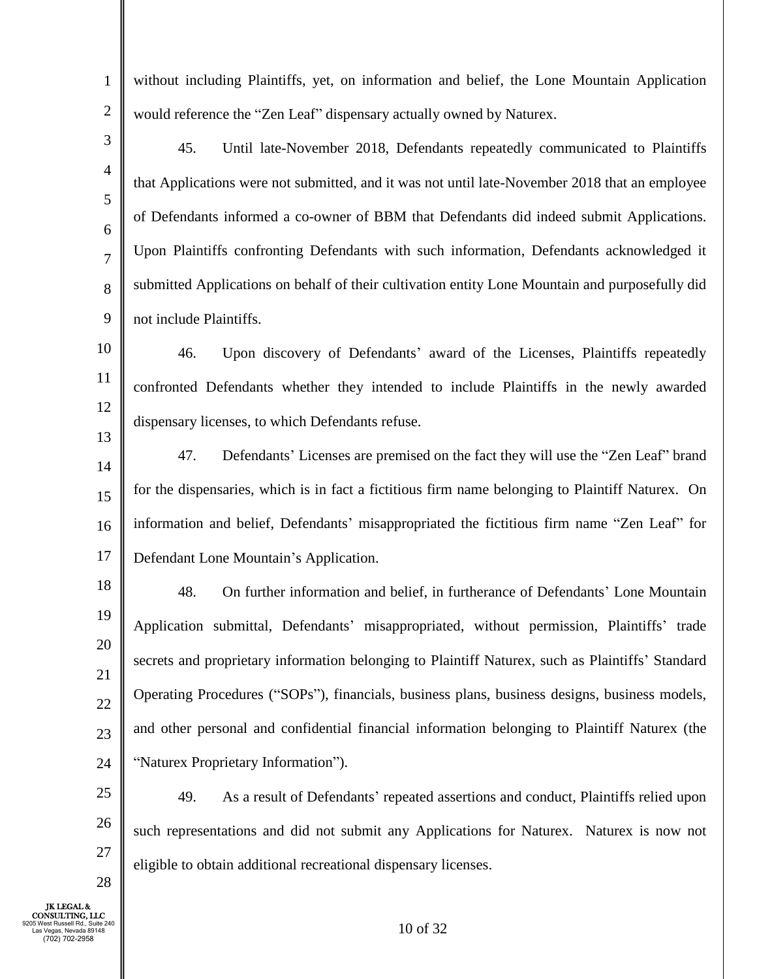| $\mathbf{1}$   | without including Plaintiffs, yet, on information and belief, the Lone Mountain Application      |
|----------------|--------------------------------------------------------------------------------------------------|
| $\sqrt{2}$     | would reference the "Zen Leaf" dispensary actually owned by Naturex.                             |
| 3              | 45.<br>Until late-November 2018, Defendants repeatedly communicated to Plaintiffs                |
| $\overline{4}$ | that Applications were not submitted, and it was not until late-November 2018 that an employee   |
| 5<br>6         | of Defendants informed a co-owner of BBM that Defendants did indeed submit Applications.         |
| $\overline{7}$ | Upon Plaintiffs confronting Defendants with such information, Defendants acknowledged it         |
| 8              | submitted Applications on behalf of their cultivation entity Lone Mountain and purposefully did  |
| 9              | not include Plaintiffs.                                                                          |
| 10             | 46.<br>Upon discovery of Defendants' award of the Licenses, Plaintiffs repeatedly                |
| 11             | confronted Defendants whether they intended to include Plaintiffs in the newly awarded           |
| 12             | dispensary licenses, to which Defendants refuse.                                                 |
| 13<br>14       | 47.<br>Defendants' Licenses are premised on the fact they will use the "Zen Leaf" brand          |
| 15             | for the dispensaries, which is in fact a fictitious firm name belonging to Plaintiff Naturex. On |
| 16             | information and belief, Defendants' misappropriated the fictitious firm name "Zen Leaf" for      |
| 17             | Defendant Lone Mountain's Application.                                                           |
| 18             | 48.<br>On further information and belief, in furtherance of Defendants' Lone Mountain            |
| 19             | Application submittal, Defendants' misappropriated, without permission, Plaintiffs' trade        |
| 20             | secrets and proprietary information belonging to Plaintiff Naturex, such as Plaintiffs' Standard |
| 21<br>$22\,$   | Operating Procedures ("SOPs"), financials, business plans, business designs, business models,    |
| 23             | and other personal and confidential financial information belonging to Plaintiff Naturex (the    |
| 24             | "Naturex Proprietary Information").                                                              |
| $25\,$         | 49.<br>As a result of Defendants' repeated assertions and conduct, Plaintiffs relied upon        |
| 26             | such representations and did not submit any Applications for Naturex. Naturex is now not         |
| 27             | eligible to obtain additional recreational dispensary licenses.                                  |
| 28             |                                                                                                  |

JK LEGAL &<br>
CONSULTING, LLC<br>
9205 West Russell Rd., Suite 240<br>
Las Vegas, Nevada 89148<br>
(702) 702-2958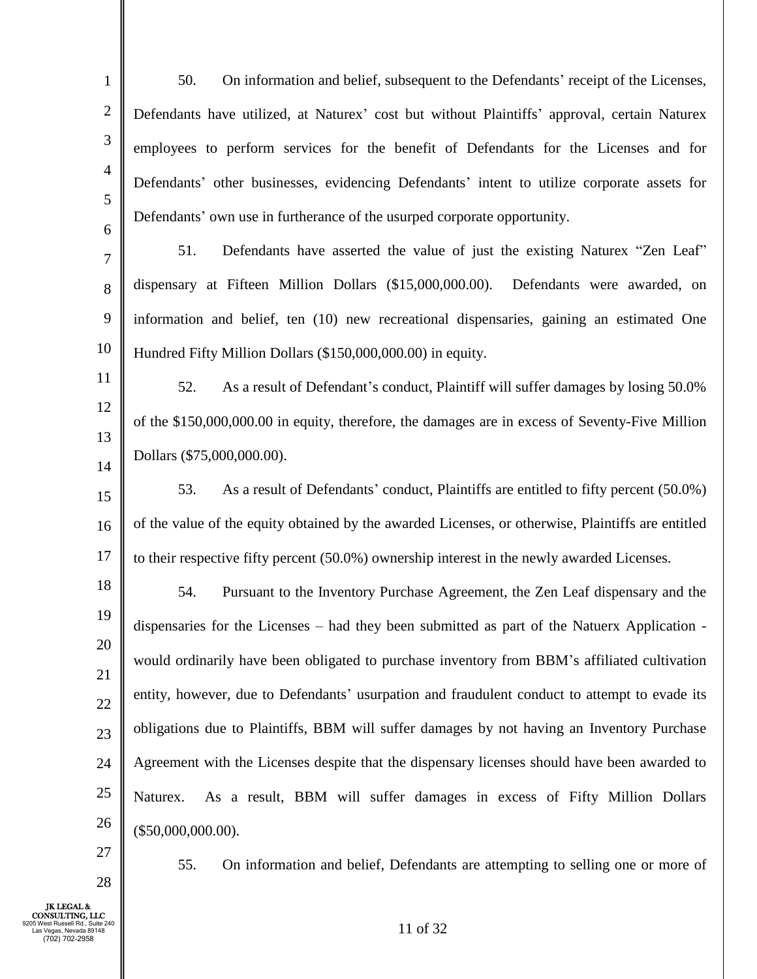1 2 3 4 5 6 50. On information and belief, subsequent to the Defendants' receipt of the Licenses, Defendants have utilized, at Naturex' cost but without Plaintiffs' approval, certain Naturex employees to perform services for the benefit of Defendants for the Licenses and for Defendants' other businesses, evidencing Defendants' intent to utilize corporate assets for Defendants' own use in furtherance of the usurped corporate opportunity.

7 8 9 10 51. Defendants have asserted the value of just the existing Naturex "Zen Leaf" dispensary at Fifteen Million Dollars (\$15,000,000.00). Defendants were awarded, on information and belief, ten (10) new recreational dispensaries, gaining an estimated One Hundred Fifty Million Dollars (\$150,000,000.00) in equity.

11 12 13 14 52. As a result of Defendant's conduct, Plaintiff will suffer damages by losing 50.0% of the \$150,000,000.00 in equity, therefore, the damages are in excess of Seventy-Five Million Dollars (\$75,000,000.00).

15 16 17 53. As a result of Defendants' conduct, Plaintiffs are entitled to fifty percent (50.0%) of the value of the equity obtained by the awarded Licenses, or otherwise, Plaintiffs are entitled to their respective fifty percent (50.0%) ownership interest in the newly awarded Licenses.

18 19 20 21 22 23 24 25 26 54. Pursuant to the Inventory Purchase Agreement, the Zen Leaf dispensary and the dispensaries for the Licenses – had they been submitted as part of the Natuerx Application would ordinarily have been obligated to purchase inventory from BBM's affiliated cultivation entity, however, due to Defendants' usurpation and fraudulent conduct to attempt to evade its obligations due to Plaintiffs, BBM will suffer damages by not having an Inventory Purchase Agreement with the Licenses despite that the dispensary licenses should have been awarded to Naturex. As a result, BBM will suffer damages in excess of Fifty Million Dollars (\$50,000,000.00).

27

28

55. On information and belief, Defendants are attempting to selling one or more of

JK LEGAL & CONSULTING, LLC 9205 West Russell Rd., Suite 240 Las Vegas, Nevada 89148 (702) 702-2958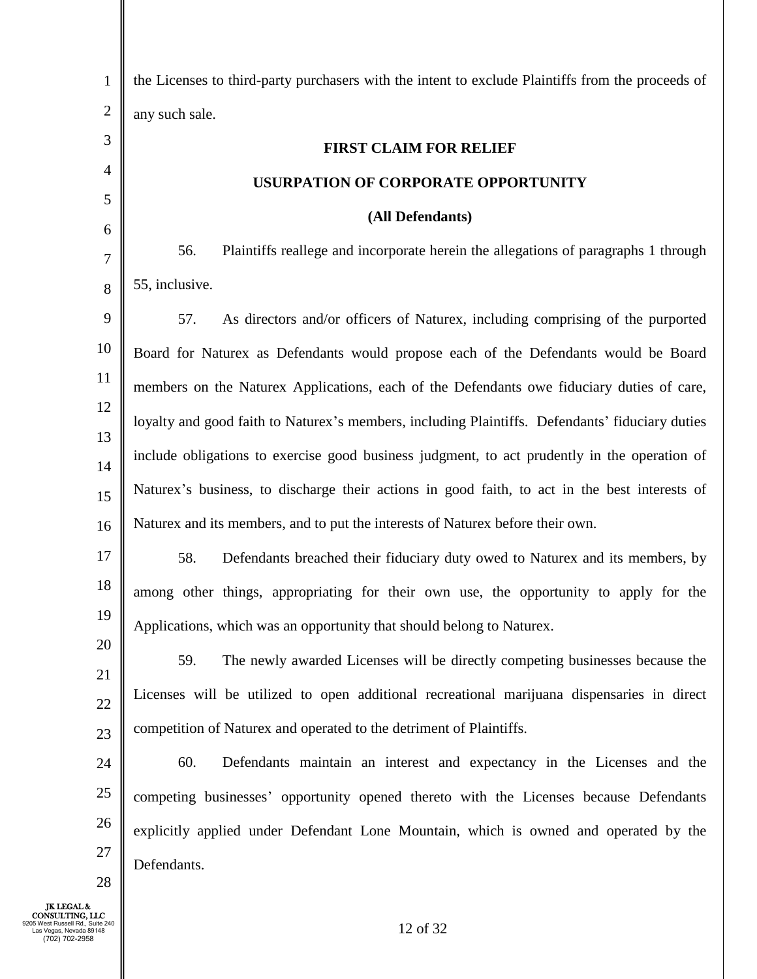| $\mathbf{1}$   | the Licenses to third-party purchasers with the intent to exclude Plaintiffs from the proceeds of |
|----------------|---------------------------------------------------------------------------------------------------|
| $\overline{c}$ | any such sale.                                                                                    |
| 3              | <b>FIRST CLAIM FOR RELIEF</b>                                                                     |
| $\overline{4}$ | USURPATION OF CORPORATE OPPORTUNITY                                                               |
| 5              | (All Defendants)                                                                                  |
| 6              | Plaintiffs reallege and incorporate herein the allegations of paragraphs 1 through<br>56.         |
| 7              | 55, inclusive.                                                                                    |
| 8              |                                                                                                   |
| 9              | As directors and/or officers of Naturex, including comprising of the purported<br>57.             |
| 10             | Board for Naturex as Defendants would propose each of the Defendants would be Board               |
| 11             | members on the Naturex Applications, each of the Defendants owe fiduciary duties of care,         |
| 12             | loyalty and good faith to Naturex's members, including Plaintiffs. Defendants' fiduciary duties   |
| 13<br>14       | include obligations to exercise good business judgment, to act prudently in the operation of      |
| 15             | Naturex's business, to discharge their actions in good faith, to act in the best interests of     |
| 16             | Naturex and its members, and to put the interests of Naturex before their own.                    |
| 17             | 58.<br>Defendants breached their fiduciary duty owed to Naturex and its members, by               |
| 18             | among other things, appropriating for their own use, the opportunity to apply for the             |
| 19             | Applications, which was an opportunity that should belong to Naturex.                             |
| 20             | The newly awarded Licenses will be directly competing businesses because the<br>59.               |
| 21             | Licenses will be utilized to open additional recreational marijuana dispensaries in direct        |
| 22             |                                                                                                   |
| 23             | competition of Naturex and operated to the detriment of Plaintiffs.                               |
| 24             | 60.<br>Defendants maintain an interest and expectancy in the Licenses and the                     |
| $25\,$         | competing businesses' opportunity opened thereto with the Licenses because Defendants             |
| 26             | explicitly applied under Defendant Lone Mountain, which is owned and operated by the              |
| 27<br>28       | Defendants.                                                                                       |
|                |                                                                                                   |

JK LEGAL &<br>
CONSULTING, LLC<br>
9205 West Russell Rd., Suite 240<br>
Las Vegas, Nevada 89148<br>
(702) 702-2958

║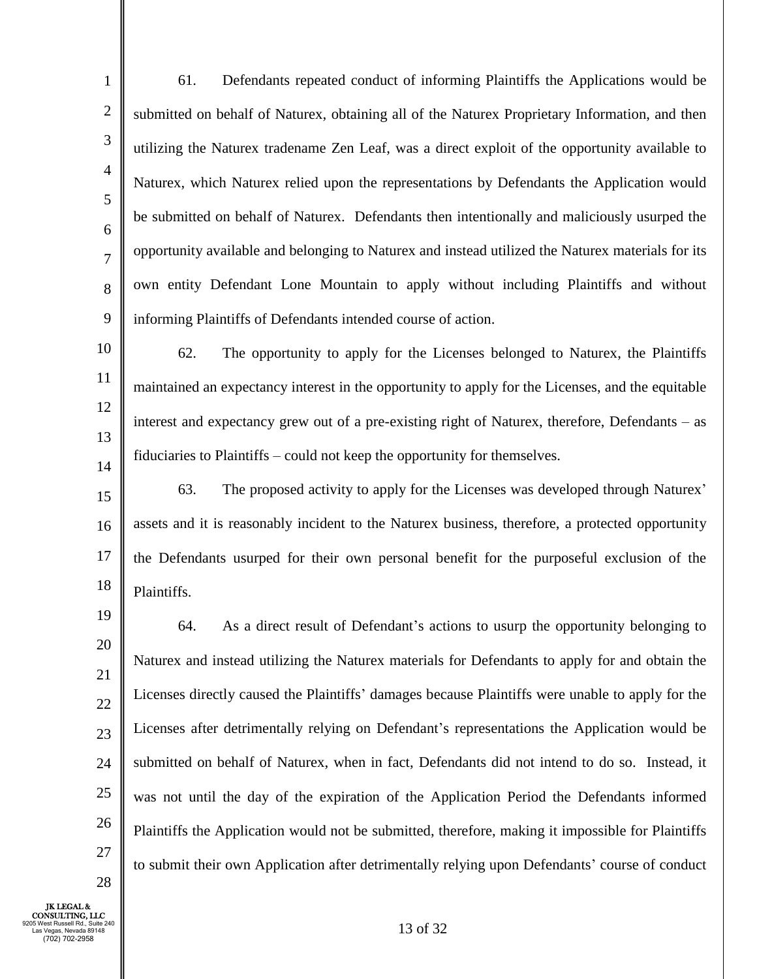1 2 3 4 5 6 7 8 9 61. Defendants repeated conduct of informing Plaintiffs the Applications would be submitted on behalf of Naturex, obtaining all of the Naturex Proprietary Information, and then utilizing the Naturex tradename Zen Leaf, was a direct exploit of the opportunity available to Naturex, which Naturex relied upon the representations by Defendants the Application would be submitted on behalf of Naturex. Defendants then intentionally and maliciously usurped the opportunity available and belonging to Naturex and instead utilized the Naturex materials for its own entity Defendant Lone Mountain to apply without including Plaintiffs and without informing Plaintiffs of Defendants intended course of action.

10 11 12 13 14 62. The opportunity to apply for the Licenses belonged to Naturex, the Plaintiffs maintained an expectancy interest in the opportunity to apply for the Licenses, and the equitable interest and expectancy grew out of a pre-existing right of Naturex, therefore, Defendants – as fiduciaries to Plaintiffs – could not keep the opportunity for themselves.

15 16 17 18 63. The proposed activity to apply for the Licenses was developed through Naturex' assets and it is reasonably incident to the Naturex business, therefore, a protected opportunity the Defendants usurped for their own personal benefit for the purposeful exclusion of the Plaintiffs.

19 20 21 22 23 24 25 26 27 64. As a direct result of Defendant's actions to usurp the opportunity belonging to Naturex and instead utilizing the Naturex materials for Defendants to apply for and obtain the Licenses directly caused the Plaintiffs' damages because Plaintiffs were unable to apply for the Licenses after detrimentally relying on Defendant's representations the Application would be submitted on behalf of Naturex, when in fact, Defendants did not intend to do so. Instead, it was not until the day of the expiration of the Application Period the Defendants informed Plaintiffs the Application would not be submitted, therefore, making it impossible for Plaintiffs to submit their own Application after detrimentally relying upon Defendants' course of conduct

JK LEGAL & CONSULTING, LLC 9205 West Russell Rd., Suite 240 Las Vegas, Nevada 89148 (702) 702-2958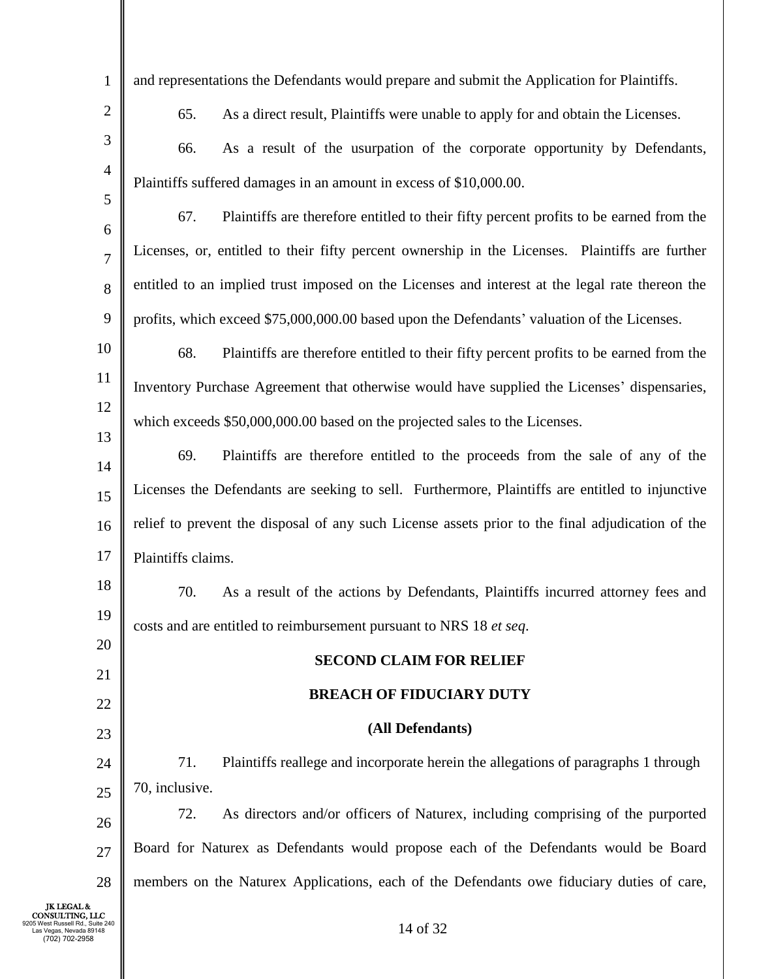| 1                                                                                                              | and representations the Defendants would prepare and submit the Application for Plaintiffs.      |
|----------------------------------------------------------------------------------------------------------------|--------------------------------------------------------------------------------------------------|
| $\overline{2}$                                                                                                 | As a direct result, Plaintiffs were unable to apply for and obtain the Licenses.<br>65.          |
| 3                                                                                                              | As a result of the usurpation of the corporate opportunity by Defendants,<br>66.                 |
| 4                                                                                                              | Plaintiffs suffered damages in an amount in excess of \$10,000.00.                               |
| 5                                                                                                              | 67.<br>Plaintiffs are therefore entitled to their fifty percent profits to be earned from the    |
| 6<br>$\overline{7}$                                                                                            | Licenses, or, entitled to their fifty percent ownership in the Licenses. Plaintiffs are further  |
| 8                                                                                                              | entitled to an implied trust imposed on the Licenses and interest at the legal rate thereon the  |
| 9                                                                                                              | profits, which exceed \$75,000,000.00 based upon the Defendants' valuation of the Licenses.      |
| 10                                                                                                             | 68.<br>Plaintiffs are therefore entitled to their fifty percent profits to be earned from the    |
| 11                                                                                                             | Inventory Purchase Agreement that otherwise would have supplied the Licenses' dispensaries,      |
| 12                                                                                                             | which exceeds \$50,000,000.00 based on the projected sales to the Licenses.                      |
| 13                                                                                                             |                                                                                                  |
| 14                                                                                                             | 69.<br>Plaintiffs are therefore entitled to the proceeds from the sale of any of the             |
| 15                                                                                                             | Licenses the Defendants are seeking to sell. Furthermore, Plaintiffs are entitled to injunctive  |
| 16                                                                                                             | relief to prevent the disposal of any such License assets prior to the final adjudication of the |
| 17                                                                                                             | Plaintiffs claims.                                                                               |
| 18                                                                                                             | 70.<br>As a result of the actions by Defendants, Plaintiffs incurred attorney fees and           |
| 19                                                                                                             | costs and are entitled to reimbursement pursuant to NRS 18 et seq.                               |
| 20                                                                                                             | <b>SECOND CLAIM FOR RELIEF</b>                                                                   |
| 21                                                                                                             | <b>BREACH OF FIDUCIARY DUTY</b>                                                                  |
| 22                                                                                                             |                                                                                                  |
| 23                                                                                                             | (All Defendants)                                                                                 |
| 24                                                                                                             | 71.<br>Plaintiffs reallege and incorporate herein the allegations of paragraphs 1 through        |
| 25                                                                                                             | 70, inclusive.                                                                                   |
| 26                                                                                                             | 72.<br>As directors and/or officers of Naturex, including comprising of the purported            |
| 27                                                                                                             | Board for Naturex as Defendants would propose each of the Defendants would be Board              |
| 28                                                                                                             | members on the Naturex Applications, each of the Defendants owe fiduciary duties of care,        |
| <b>JK LEGAL &amp;</b><br>CONSULTING, LLC<br>Russell Rd., Suite 240<br>as Vegas, Nevada 89148<br>(702) 702-2958 | 14 of 32                                                                                         |

║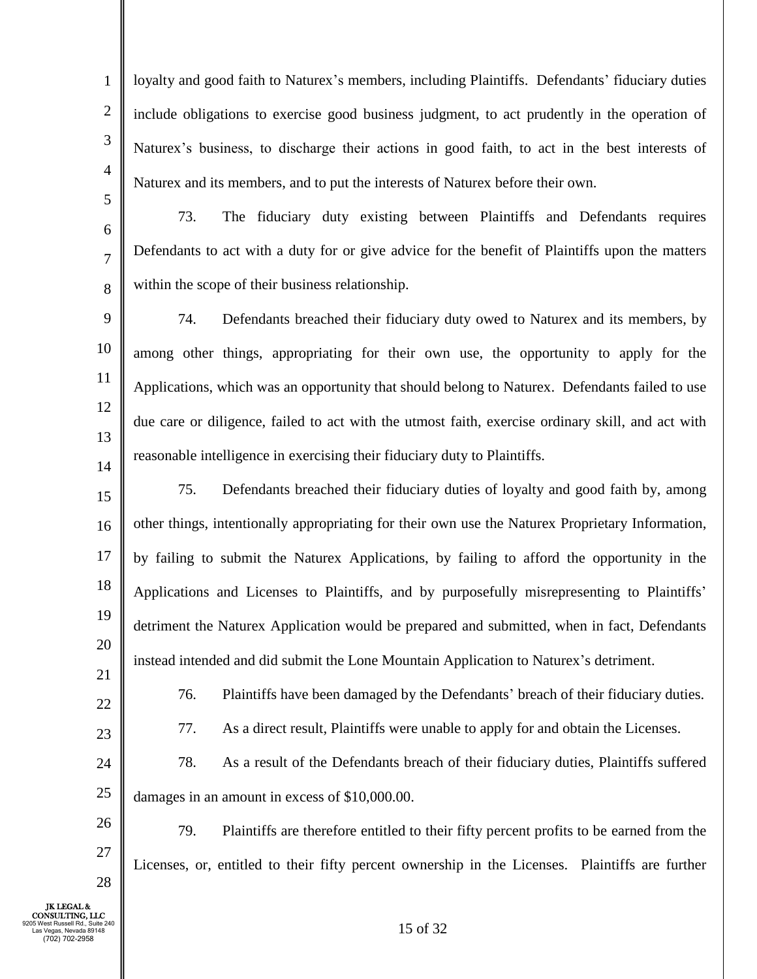1 2 3 4 loyalty and good faith to Naturex's members, including Plaintiffs. Defendants' fiduciary duties include obligations to exercise good business judgment, to act prudently in the operation of Naturex's business, to discharge their actions in good faith, to act in the best interests of Naturex and its members, and to put the interests of Naturex before their own.

5 6

7

8

73. The fiduciary duty existing between Plaintiffs and Defendants requires Defendants to act with a duty for or give advice for the benefit of Plaintiffs upon the matters within the scope of their business relationship.

9 10 11 12 13 14 74. Defendants breached their fiduciary duty owed to Naturex and its members, by among other things, appropriating for their own use, the opportunity to apply for the Applications, which was an opportunity that should belong to Naturex. Defendants failed to use due care or diligence, failed to act with the utmost faith, exercise ordinary skill, and act with reasonable intelligence in exercising their fiduciary duty to Plaintiffs.

15 16 17 18 19 20 21 75. Defendants breached their fiduciary duties of loyalty and good faith by, among other things, intentionally appropriating for their own use the Naturex Proprietary Information, by failing to submit the Naturex Applications, by failing to afford the opportunity in the Applications and Licenses to Plaintiffs, and by purposefully misrepresenting to Plaintiffs' detriment the Naturex Application would be prepared and submitted, when in fact, Defendants instead intended and did submit the Lone Mountain Application to Naturex's detriment.

22

76. Plaintiffs have been damaged by the Defendants' breach of their fiduciary duties.

23

26

27

28

77. As a direct result, Plaintiffs were unable to apply for and obtain the Licenses.

24 25 78. As a result of the Defendants breach of their fiduciary duties, Plaintiffs suffered damages in an amount in excess of \$10,000.00.

79. Plaintiffs are therefore entitled to their fifty percent profits to be earned from the Licenses, or, entitled to their fifty percent ownership in the Licenses. Plaintiffs are further

JK LEGAL & CONSULTING, LLC 9205 West Russell Rd., Suite 240 Las Vegas, Nevada 89148 (702) 702-2958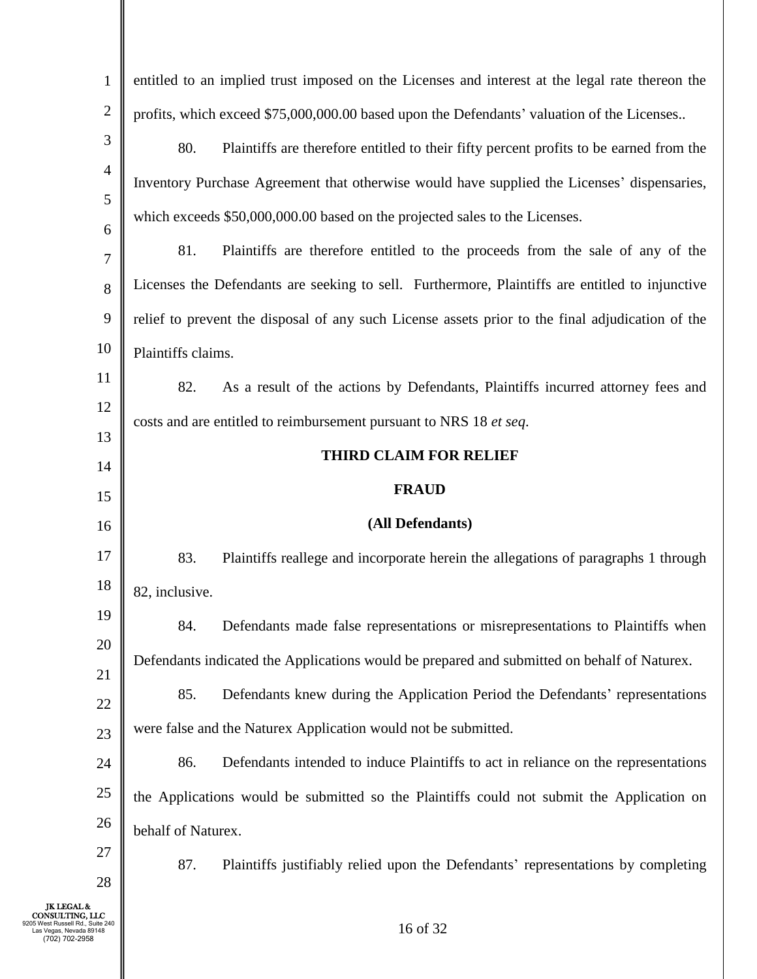| $\mathbf{1}$                                                                        | entitled to an implied trust imposed on the Licenses and interest at the legal rate thereon the  |
|-------------------------------------------------------------------------------------|--------------------------------------------------------------------------------------------------|
| $\mathbf{2}$                                                                        | profits, which exceed \$75,000,000.00 based upon the Defendants' valuation of the Licenses       |
| 3                                                                                   | 80.<br>Plaintiffs are therefore entitled to their fifty percent profits to be earned from the    |
| $\overline{4}$                                                                      | Inventory Purchase Agreement that otherwise would have supplied the Licenses' dispensaries,      |
| 5                                                                                   | which exceeds \$50,000,000.00 based on the projected sales to the Licenses.                      |
| 6<br>7                                                                              | 81.<br>Plaintiffs are therefore entitled to the proceeds from the sale of any of the             |
| 8                                                                                   | Licenses the Defendants are seeking to sell. Furthermore, Plaintiffs are entitled to injunctive  |
| 9                                                                                   | relief to prevent the disposal of any such License assets prior to the final adjudication of the |
| 10                                                                                  | Plaintiffs claims.                                                                               |
| 11                                                                                  | 82.<br>As a result of the actions by Defendants, Plaintiffs incurred attorney fees and           |
| 12                                                                                  | costs and are entitled to reimbursement pursuant to NRS 18 et seq.                               |
| 13                                                                                  |                                                                                                  |
| 14                                                                                  | <b>THIRD CLAIM FOR RELIEF</b>                                                                    |
|                                                                                     |                                                                                                  |
| 15                                                                                  | <b>FRAUD</b>                                                                                     |
| 16                                                                                  | (All Defendants)                                                                                 |
| 17                                                                                  | 83.<br>Plaintiffs reallege and incorporate herein the allegations of paragraphs 1 through        |
| 18                                                                                  | 82, inclusive.                                                                                   |
| 19                                                                                  | 84.<br>Defendants made false representations or misrepresentations to Plaintiffs when            |
| 20                                                                                  | Defendants indicated the Applications would be prepared and submitted on behalf of Naturex.      |
| 21                                                                                  | 85.<br>Defendants knew during the Application Period the Defendants' representations             |
| 22<br>23                                                                            | were false and the Naturex Application would not be submitted.                                   |
| 24                                                                                  | Defendants intended to induce Plaintiffs to act in reliance on the representations<br>86.        |
| 25                                                                                  | the Applications would be submitted so the Plaintiffs could not submit the Application on        |
| 26                                                                                  | behalf of Naturex.                                                                               |
| 27                                                                                  |                                                                                                  |
| 28                                                                                  | 87.<br>Plaintiffs justifiably relied upon the Defendants' representations by completing          |
| <b>JK LEGAL &amp;</b><br>Rd., Suite 240<br>as Vegas, Nevada 89148<br>(702) 702-2958 | 16 of 32                                                                                         |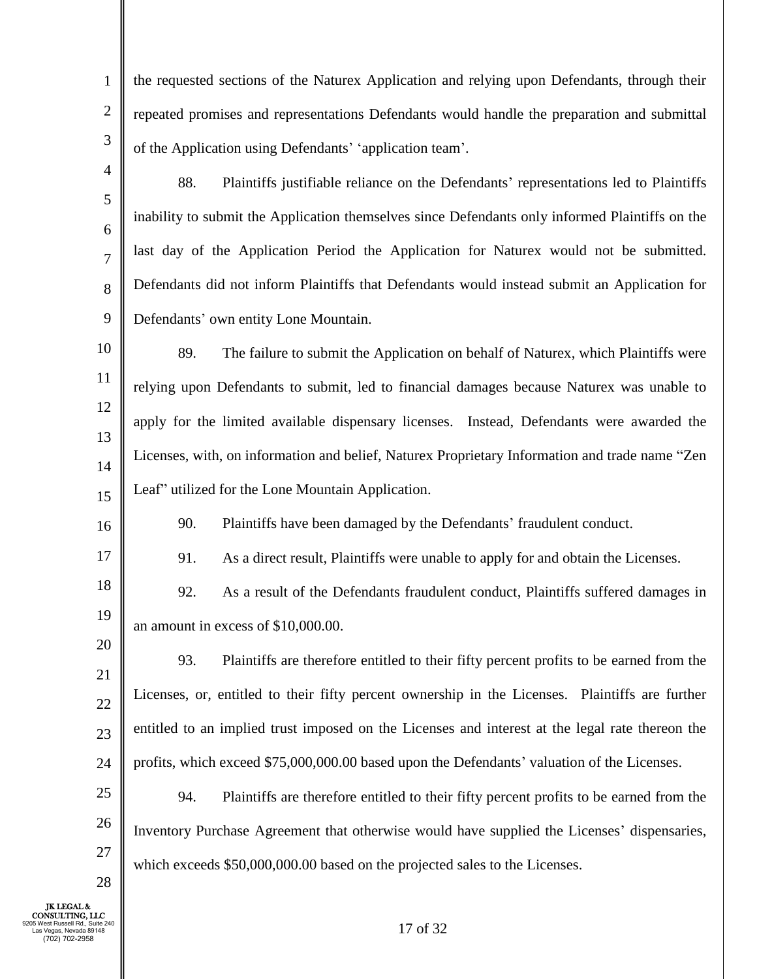the requested sections of the Naturex Application and relying upon Defendants, through their repeated promises and representations Defendants would handle the preparation and submittal of the Application using Defendants' 'application team'.

- 4 5 6 7 8 9 88. Plaintiffs justifiable reliance on the Defendants' representations led to Plaintiffs inability to submit the Application themselves since Defendants only informed Plaintiffs on the last day of the Application Period the Application for Naturex would not be submitted. Defendants did not inform Plaintiffs that Defendants would instead submit an Application for Defendants' own entity Lone Mountain.
- 10 11 12 13 14 15 89. The failure to submit the Application on behalf of Naturex, which Plaintiffs were relying upon Defendants to submit, led to financial damages because Naturex was unable to apply for the limited available dispensary licenses. Instead, Defendants were awarded the Licenses, with, on information and belief, Naturex Proprietary Information and trade name "Zen Leaf" utilized for the Lone Mountain Application.
	- 90. Plaintiffs have been damaged by the Defendants' fraudulent conduct.
	- 91. As a direct result, Plaintiffs were unable to apply for and obtain the Licenses.
- 18 19 92. As a result of the Defendants fraudulent conduct, Plaintiffs suffered damages in an amount in excess of \$10,000.00.
- 21 22 23 24 93. Plaintiffs are therefore entitled to their fifty percent profits to be earned from the Licenses, or, entitled to their fifty percent ownership in the Licenses. Plaintiffs are further entitled to an implied trust imposed on the Licenses and interest at the legal rate thereon the profits, which exceed \$75,000,000.00 based upon the Defendants' valuation of the Licenses.
- 25 26 27 94. Plaintiffs are therefore entitled to their fifty percent profits to be earned from the Inventory Purchase Agreement that otherwise would have supplied the Licenses' dispensaries, which exceeds  $$50,000,000.00$  based on the projected sales to the Licenses.

JK LEGAL & CONSULTING, LLC 9205 West Russell Rd., Suite 240 Las Vegas, Nevada 89148 (702) 702-2958

28

1

2

3

16

17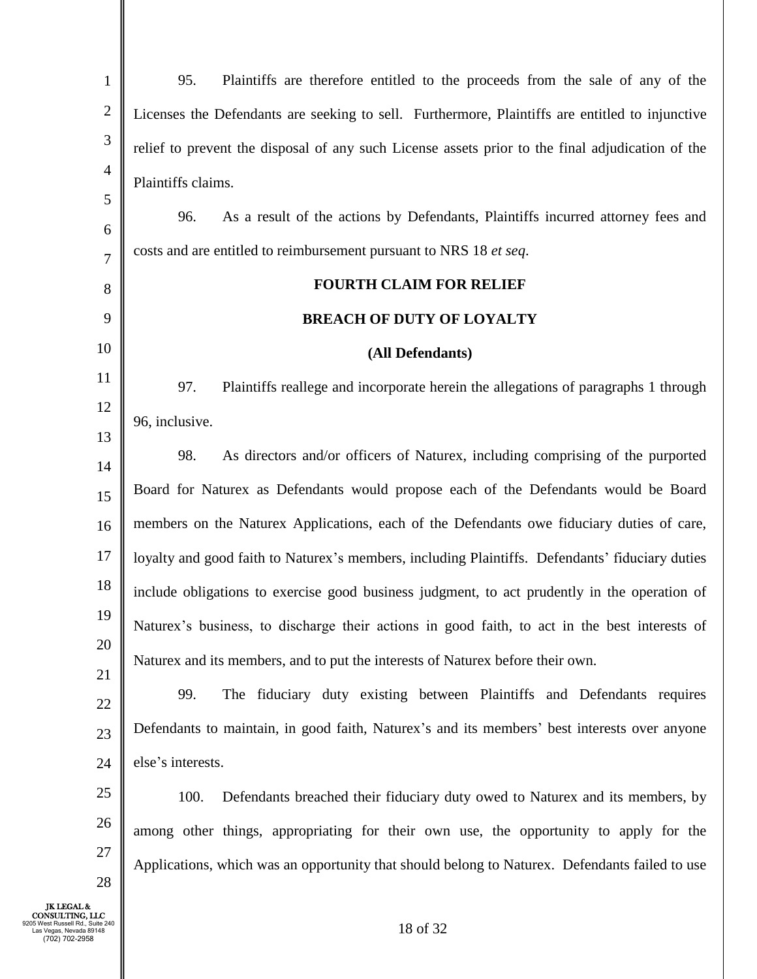| $\mathbf{1}$        | Plaintiffs are therefore entitled to the proceeds from the sale of any of the<br>95.             |
|---------------------|--------------------------------------------------------------------------------------------------|
| $\sqrt{2}$          | Licenses the Defendants are seeking to sell. Furthermore, Plaintiffs are entitled to injunctive  |
| 3                   | relief to prevent the disposal of any such License assets prior to the final adjudication of the |
| $\overline{4}$      | Plaintiffs claims.                                                                               |
| 5                   | As a result of the actions by Defendants, Plaintiffs incurred attorney fees and<br>96.           |
| 6                   | costs and are entitled to reimbursement pursuant to NRS 18 et seq.                               |
| $\overline{7}$<br>8 | <b>FOURTH CLAIM FOR RELIEF</b>                                                                   |
| 9                   | <b>BREACH OF DUTY OF LOYALTY</b>                                                                 |
| 10                  |                                                                                                  |
| 11                  | (All Defendants)                                                                                 |
| 12                  | Plaintiffs reallege and incorporate herein the allegations of paragraphs 1 through<br>97.        |
| 13                  | 96, inclusive.                                                                                   |
| 14                  | 98.<br>As directors and/or officers of Naturex, including comprising of the purported            |
| 15                  | Board for Naturex as Defendants would propose each of the Defendants would be Board              |
| 16                  | members on the Naturex Applications, each of the Defendants owe fiduciary duties of care,        |
| 17                  | loyalty and good faith to Naturex's members, including Plaintiffs. Defendants' fiduciary duties  |
| 18                  | include obligations to exercise good business judgment, to act prudently in the operation of     |
| 19                  | Naturex's business, to discharge their actions in good faith, to act in the best interests of    |
| 20                  | Naturex and its members, and to put the interests of Naturex before their own.                   |
| 21                  | The fiduciary duty existing between Plaintiffs and Defendants requires<br>99.                    |
| 22                  | Defendants to maintain, in good faith, Naturex's and its members' best interests over anyone     |
| 23                  | else's interests.                                                                                |
| 24                  |                                                                                                  |
| 25                  | 100.<br>Defendants breached their fiduciary duty owed to Naturex and its members, by             |
| 26                  | among other things, appropriating for their own use, the opportunity to apply for the            |
| 27<br>28            | Applications, which was an opportunity that should belong to Naturex. Defendants failed to use   |
|                     |                                                                                                  |

JK LEGAL &<br>
CONSULTING, LLC<br>
9205 West Russell Rd., Suite 240<br>
Las Vegas, Nevada 89148<br>
(702) 702-2958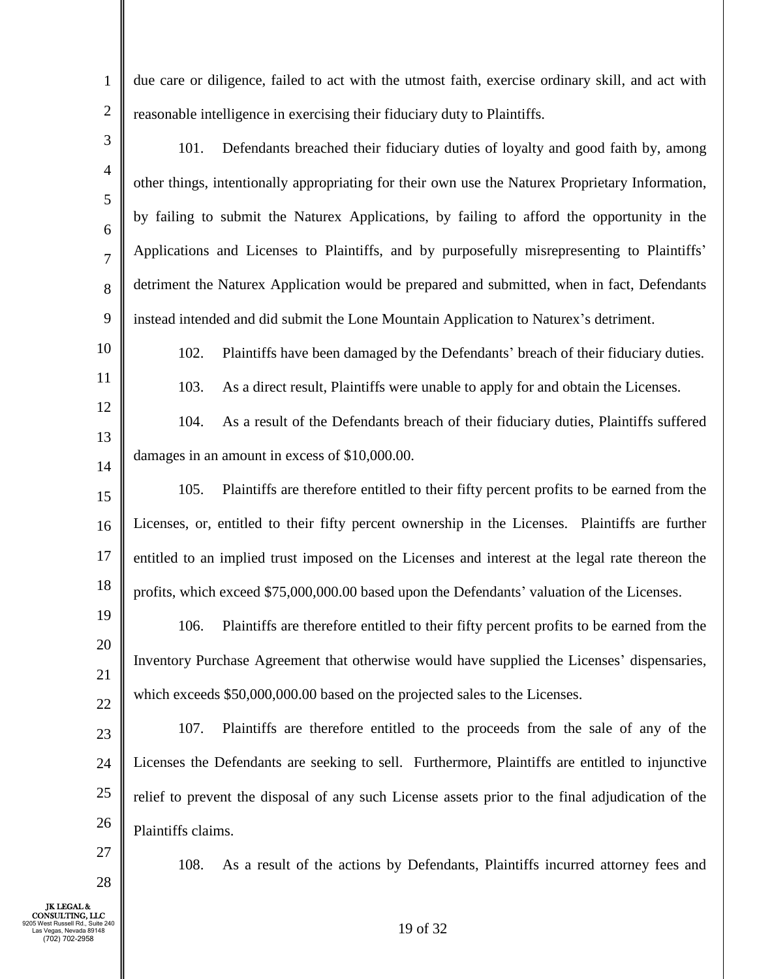due care or diligence, failed to act with the utmost faith, exercise ordinary skill, and act with reasonable intelligence in exercising their fiduciary duty to Plaintiffs.

- 3 4 5 6 7 8 9 101. Defendants breached their fiduciary duties of loyalty and good faith by, among other things, intentionally appropriating for their own use the Naturex Proprietary Information, by failing to submit the Naturex Applications, by failing to afford the opportunity in the Applications and Licenses to Plaintiffs, and by purposefully misrepresenting to Plaintiffs' detriment the Naturex Application would be prepared and submitted, when in fact, Defendants instead intended and did submit the Lone Mountain Application to Naturex's detriment.
	- 102. Plaintiffs have been damaged by the Defendants' breach of their fiduciary duties. 103. As a direct result, Plaintiffs were unable to apply for and obtain the Licenses.
- 12 13 14 104. As a result of the Defendants breach of their fiduciary duties, Plaintiffs suffered damages in an amount in excess of \$10,000.00.
- 15 16 17 18 105. Plaintiffs are therefore entitled to their fifty percent profits to be earned from the Licenses, or, entitled to their fifty percent ownership in the Licenses. Plaintiffs are further entitled to an implied trust imposed on the Licenses and interest at the legal rate thereon the profits, which exceed \$75,000,000.00 based upon the Defendants' valuation of the Licenses.
- 19 20 21 22 106. Plaintiffs are therefore entitled to their fifty percent profits to be earned from the Inventory Purchase Agreement that otherwise would have supplied the Licenses' dispensaries, which exceeds  $$50,000,000.00$  based on the projected sales to the Licenses.
- 23 24 25 26 107. Plaintiffs are therefore entitled to the proceeds from the sale of any of the Licenses the Defendants are seeking to sell. Furthermore, Plaintiffs are entitled to injunctive relief to prevent the disposal of any such License assets prior to the final adjudication of the Plaintiffs claims.
- 27

28

1

2

10

11

108. As a result of the actions by Defendants, Plaintiffs incurred attorney fees and

JK LEGAL & CONSULTING, LLC 9205 West Russell Rd., Suite 240 Las Vegas, Nevada 89148 (702) 702-2958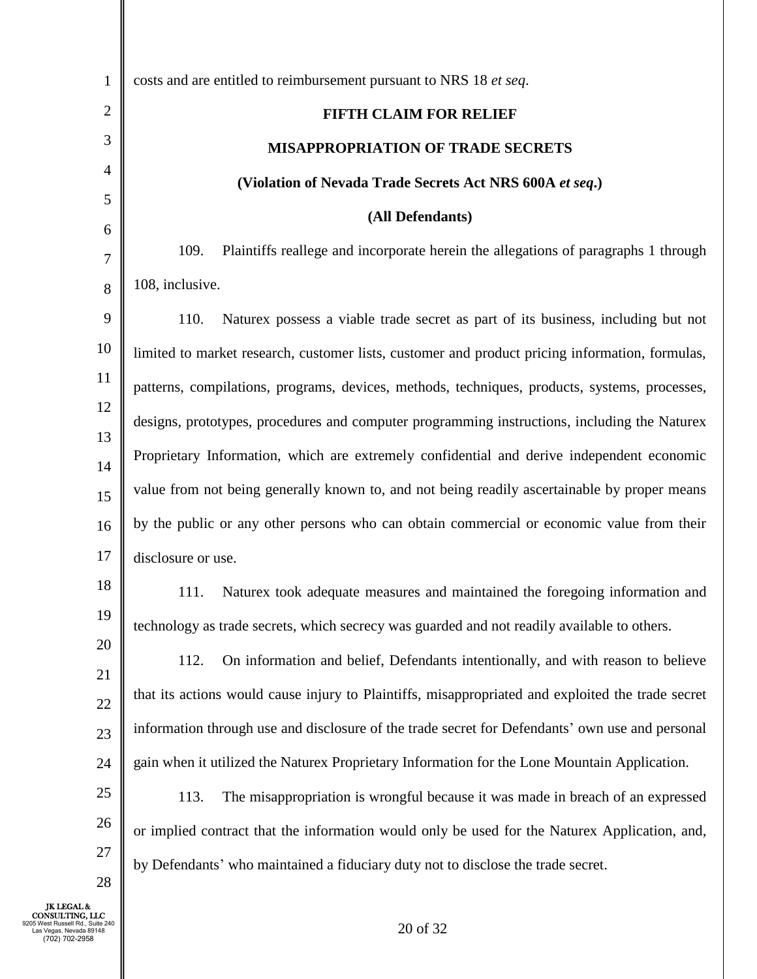| $\mathbf{1}$   | costs and are entitled to reimbursement pursuant to NRS 18 et seq.                                |
|----------------|---------------------------------------------------------------------------------------------------|
| $\overline{2}$ | <b>FIFTH CLAIM FOR RELIEF</b>                                                                     |
| 3              | <b>MISAPPROPRIATION OF TRADE SECRETS</b>                                                          |
| 4              | (Violation of Nevada Trade Secrets Act NRS 600A et seq.)                                          |
| 5              | (All Defendants)                                                                                  |
| 6              | Plaintiffs reallege and incorporate herein the allegations of paragraphs 1 through<br>109.        |
| 7              | 108, inclusive.                                                                                   |
| 8<br>9         | 110.<br>Naturex possess a viable trade secret as part of its business, including but not          |
| 10             |                                                                                                   |
| 11             | limited to market research, customer lists, customer and product pricing information, formulas,   |
| 12             | patterns, compilations, programs, devices, methods, techniques, products, systems, processes,     |
| 13             | designs, prototypes, procedures and computer programming instructions, including the Naturex      |
| 14             | Proprietary Information, which are extremely confidential and derive independent economic         |
| 15             | value from not being generally known to, and not being readily ascertainable by proper means      |
| 16             | by the public or any other persons who can obtain commercial or economic value from their         |
| 17             | disclosure or use.                                                                                |
| 18             | Naturex took adequate measures and maintained the foregoing information and<br>111.               |
| 19             | technology as trade secrets, which secrecy was guarded and not readily available to others.       |
| 20             | On information and belief, Defendants intentionally, and with reason to believe<br>112.           |
| 21             | that its actions would cause injury to Plaintiffs, misappropriated and exploited the trade secret |
| 22<br>23       | information through use and disclosure of the trade secret for Defendants' own use and personal   |
| 24             | gain when it utilized the Naturex Proprietary Information for the Lone Mountain Application.      |
| 25             | The misappropriation is wrongful because it was made in breach of an expressed<br>113.            |
| 26             |                                                                                                   |
| 27             | or implied contract that the information would only be used for the Naturex Application, and,     |
| 28             | by Defendants' who maintained a fiduciary duty not to disclose the trade secret.                  |
|                |                                                                                                   |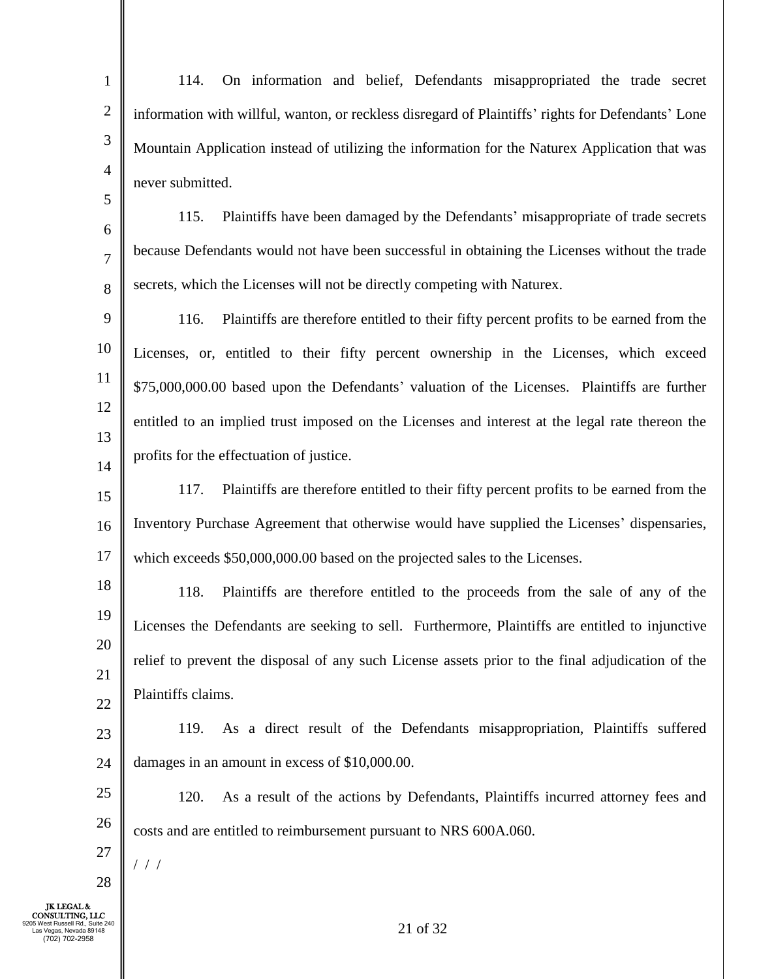1 2 3 4 114. On information and belief, Defendants misappropriated the trade secret information with willful, wanton, or reckless disregard of Plaintiffs' rights for Defendants' Lone Mountain Application instead of utilizing the information for the Naturex Application that was never submitted.

6 7 8 115. Plaintiffs have been damaged by the Defendants' misappropriate of trade secrets because Defendants would not have been successful in obtaining the Licenses without the trade secrets, which the Licenses will not be directly competing with Naturex.

9 10 11 12 13 14 116. Plaintiffs are therefore entitled to their fifty percent profits to be earned from the Licenses, or, entitled to their fifty percent ownership in the Licenses, which exceed \$75,000,000.00 based upon the Defendants' valuation of the Licenses. Plaintiffs are further entitled to an implied trust imposed on the Licenses and interest at the legal rate thereon the profits for the effectuation of justice.

15 16 17 117. Plaintiffs are therefore entitled to their fifty percent profits to be earned from the Inventory Purchase Agreement that otherwise would have supplied the Licenses' dispensaries, which exceeds  $$50,000,000.00$  based on the projected sales to the Licenses.

18 19 20 21 22 118. Plaintiffs are therefore entitled to the proceeds from the sale of any of the Licenses the Defendants are seeking to sell. Furthermore, Plaintiffs are entitled to injunctive relief to prevent the disposal of any such License assets prior to the final adjudication of the Plaintiffs claims.

23 24 119. As a direct result of the Defendants misappropriation, Plaintiffs suffered damages in an amount in excess of \$10,000.00.

25 26 120. As a result of the actions by Defendants, Plaintiffs incurred attorney fees and costs and are entitled to reimbursement pursuant to NRS 600A.060.

27 / / /

28

5

JK LEGAL & CONSULTING, LLC 9205 West Russell Rd., Suite 240 Las Vegas, Nevada 89148 (702) 702-2958

21 of 32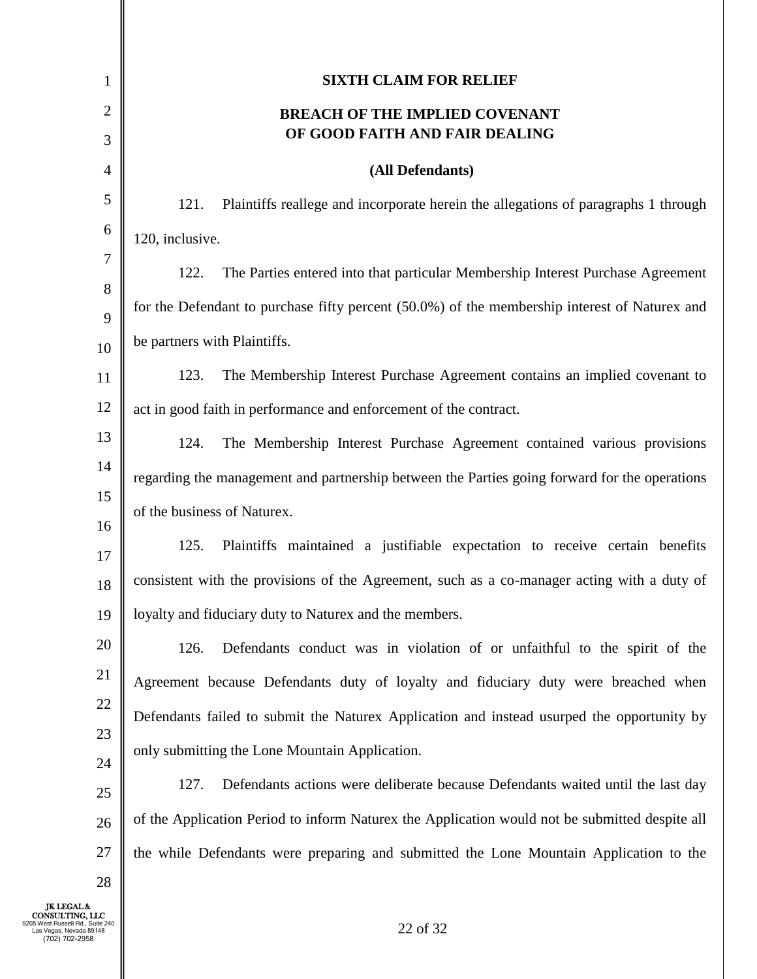| 1                                                                                             | <b>SIXTH CLAIM FOR RELIEF</b>                                                                  |
|-----------------------------------------------------------------------------------------------|------------------------------------------------------------------------------------------------|
| $\overline{c}$                                                                                | <b>BREACH OF THE IMPLIED COVENANT</b>                                                          |
| 3                                                                                             | OF GOOD FAITH AND FAIR DEALING                                                                 |
| $\overline{4}$                                                                                | (All Defendants)                                                                               |
| 5                                                                                             | 121.<br>Plaintiffs reallege and incorporate herein the allegations of paragraphs 1 through     |
| 6                                                                                             | 120, inclusive.                                                                                |
| 7                                                                                             | The Parties entered into that particular Membership Interest Purchase Agreement<br>122.        |
| $8\,$                                                                                         | for the Defendant to purchase fifty percent (50.0%) of the membership interest of Naturex and  |
| 9                                                                                             | be partners with Plaintiffs.                                                                   |
| 10                                                                                            | The Membership Interest Purchase Agreement contains an implied covenant to<br>123.             |
| 11<br>12                                                                                      |                                                                                                |
| 13                                                                                            | act in good faith in performance and enforcement of the contract.                              |
| 14                                                                                            | The Membership Interest Purchase Agreement contained various provisions<br>124.                |
| 15                                                                                            | regarding the management and partnership between the Parties going forward for the operations  |
| 16                                                                                            | of the business of Naturex.                                                                    |
| 17                                                                                            | 125.<br>Plaintiffs maintained a justifiable expectation to receive certain benefits            |
| 18                                                                                            | consistent with the provisions of the Agreement, such as a co-manager acting with a duty of    |
| 19                                                                                            | loyalty and fiduciary duty to Naturex and the members.                                         |
| 20                                                                                            | Defendants conduct was in violation of or unfaithful to the spirit of the<br>126.              |
| 21                                                                                            | Agreement because Defendants duty of loyalty and fiduciary duty were breached when             |
| 22                                                                                            | Defendants failed to submit the Naturex Application and instead usurped the opportunity by     |
| 23                                                                                            | only submitting the Lone Mountain Application.                                                 |
| 24                                                                                            | Defendants actions were deliberate because Defendants waited until the last day<br>127.        |
| 25                                                                                            |                                                                                                |
| 26                                                                                            | of the Application Period to inform Naturex the Application would not be submitted despite all |
| 27                                                                                            | the while Defendants were preparing and submitted the Lone Mountain Application to the         |
| 28<br><b>JK LEGAL &amp;</b>                                                                   |                                                                                                |
| CONSULTING, LLC<br>05 West Russell Rd., Suite 240<br>as Vegas, Nevada 89148<br>(702) 702-2958 | 22 of 32                                                                                       |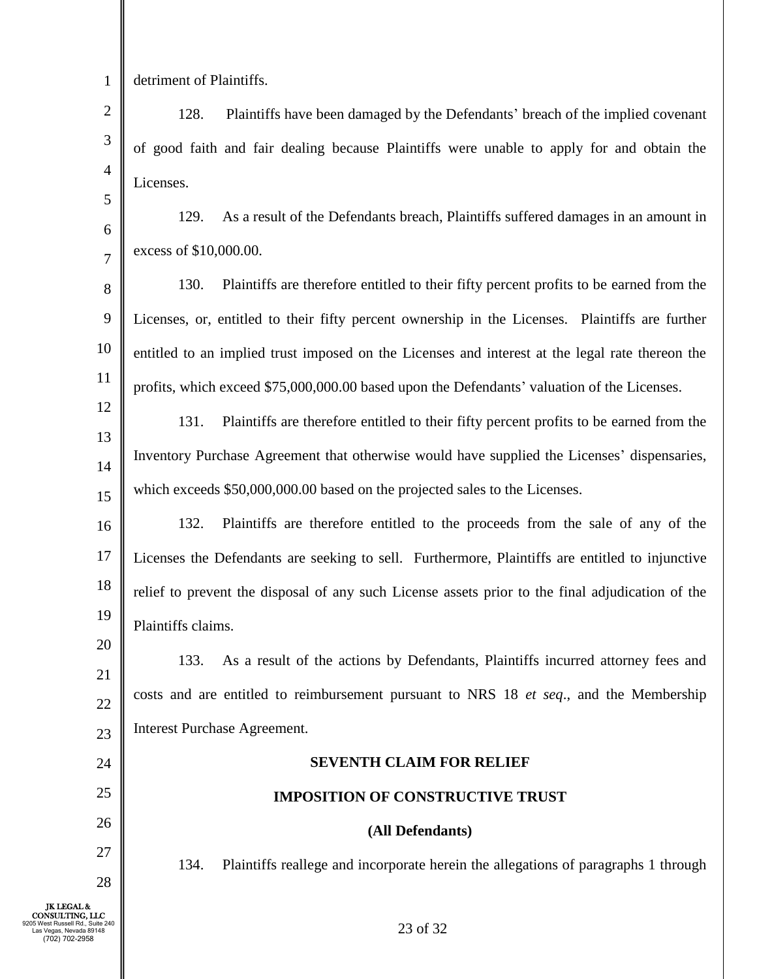1

5

6

7

detriment of Plaintiffs.

2 3 4 128. Plaintiffs have been damaged by the Defendants' breach of the implied covenant of good faith and fair dealing because Plaintiffs were unable to apply for and obtain the Licenses.

- 129. As a result of the Defendants breach, Plaintiffs suffered damages in an amount in excess of \$10,000.00.
- 8 9 10 11 130. Plaintiffs are therefore entitled to their fifty percent profits to be earned from the Licenses, or, entitled to their fifty percent ownership in the Licenses. Plaintiffs are further entitled to an implied trust imposed on the Licenses and interest at the legal rate thereon the profits, which exceed \$75,000,000.00 based upon the Defendants' valuation of the Licenses.
- 12 13 14 15 131. Plaintiffs are therefore entitled to their fifty percent profits to be earned from the Inventory Purchase Agreement that otherwise would have supplied the Licenses' dispensaries, which exceeds \$50,000,000.00 based on the projected sales to the Licenses.
- 16 17 18 19 132. Plaintiffs are therefore entitled to the proceeds from the sale of any of the Licenses the Defendants are seeking to sell. Furthermore, Plaintiffs are entitled to injunctive relief to prevent the disposal of any such License assets prior to the final adjudication of the Plaintiffs claims.

20 21 22 23 133. As a result of the actions by Defendants, Plaintiffs incurred attorney fees and costs and are entitled to reimbursement pursuant to NRS 18 *et seq*., and the Membership Interest Purchase Agreement.

# **SEVENTH CLAIM FOR RELIEF**

### **IMPOSITION OF CONSTRUCTIVE TRUST**

## **(All Defendants)**

134. Plaintiffs reallege and incorporate herein the allegations of paragraphs 1 through

24

25

26

27

28

23 of 32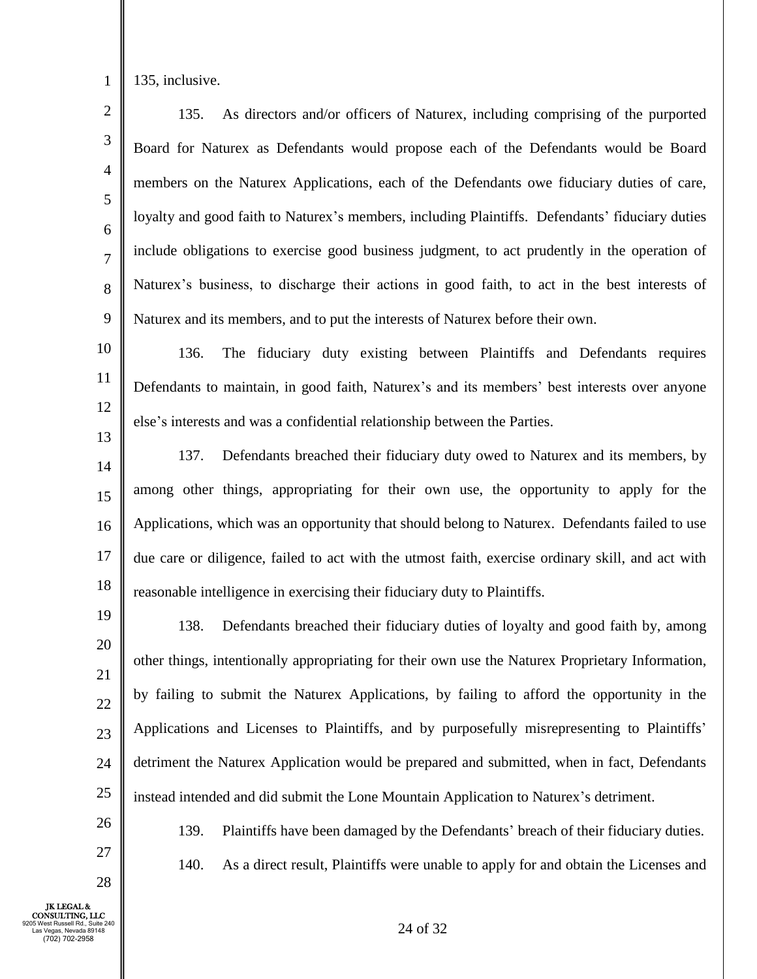1

135, inclusive.

2 3 4 5 6 7 8 9 135. As directors and/or officers of Naturex, including comprising of the purported Board for Naturex as Defendants would propose each of the Defendants would be Board members on the Naturex Applications, each of the Defendants owe fiduciary duties of care, loyalty and good faith to Naturex's members, including Plaintiffs. Defendants' fiduciary duties include obligations to exercise good business judgment, to act prudently in the operation of Naturex's business, to discharge their actions in good faith, to act in the best interests of Naturex and its members, and to put the interests of Naturex before their own.

10 11 12 13 136. The fiduciary duty existing between Plaintiffs and Defendants requires Defendants to maintain, in good faith, Naturex's and its members' best interests over anyone else's interests and was a confidential relationship between the Parties.

14 15 16 17 18 137. Defendants breached their fiduciary duty owed to Naturex and its members, by among other things, appropriating for their own use, the opportunity to apply for the Applications, which was an opportunity that should belong to Naturex. Defendants failed to use due care or diligence, failed to act with the utmost faith, exercise ordinary skill, and act with reasonable intelligence in exercising their fiduciary duty to Plaintiffs.

19

138. Defendants breached their fiduciary duties of loyalty and good faith by, among other things, intentionally appropriating for their own use the Naturex Proprietary Information, by failing to submit the Naturex Applications, by failing to afford the opportunity in the Applications and Licenses to Plaintiffs, and by purposefully misrepresenting to Plaintiffs' detriment the Naturex Application would be prepared and submitted, when in fact, Defendants instead intended and did submit the Lone Mountain Application to Naturex's detriment.

26 27

28

25

140. As a direct result, Plaintiffs were unable to apply for and obtain the Licenses and

139. Plaintiffs have been damaged by the Defendants' breach of their fiduciary duties.

JK LEGAL & CONSULTING, LLC 9205 West Russell Rd., Suite 240 Las Vegas, Nevada 89148 (702) 702-2958

24 of 32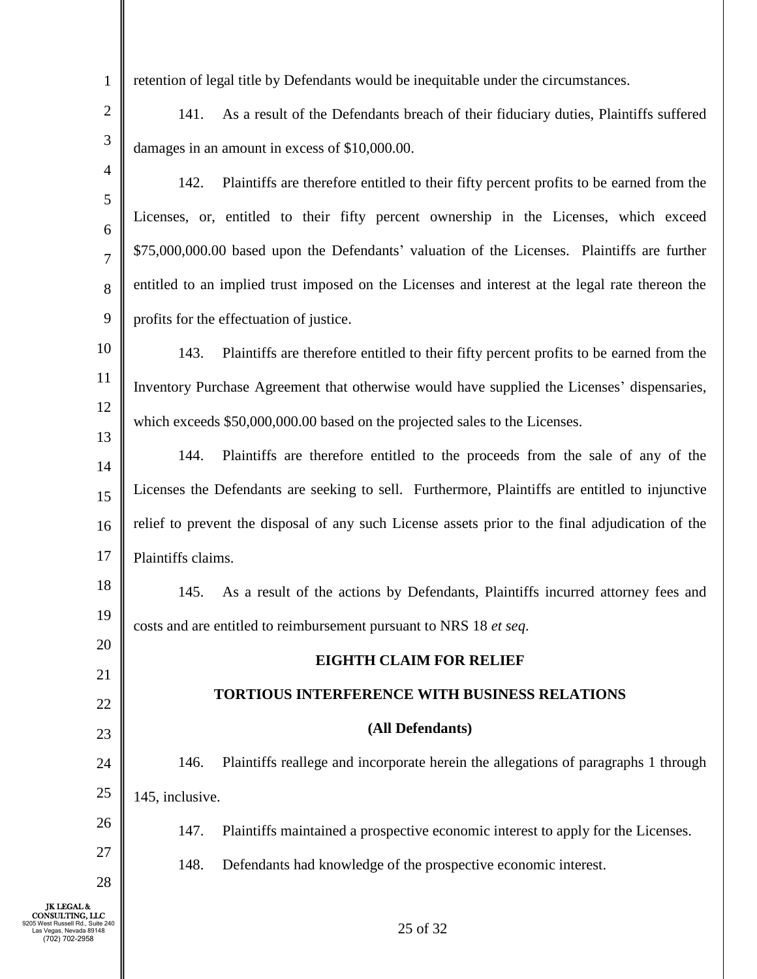retention of legal title by Defendants would be inequitable under the circumstances.

141. As a result of the Defendants breach of their fiduciary duties, Plaintiffs suffered damages in an amount in excess of \$10,000.00.

- 4 5 6 7 8 9 142. Plaintiffs are therefore entitled to their fifty percent profits to be earned from the Licenses, or, entitled to their fifty percent ownership in the Licenses, which exceed \$75,000,000.00 based upon the Defendants' valuation of the Licenses. Plaintiffs are further entitled to an implied trust imposed on the Licenses and interest at the legal rate thereon the profits for the effectuation of justice.
- 10 11 12 13 143. Plaintiffs are therefore entitled to their fifty percent profits to be earned from the Inventory Purchase Agreement that otherwise would have supplied the Licenses' dispensaries, which exceeds \$50,000,000.00 based on the projected sales to the Licenses.
- 14 15 16 17 144. Plaintiffs are therefore entitled to the proceeds from the sale of any of the Licenses the Defendants are seeking to sell. Furthermore, Plaintiffs are entitled to injunctive relief to prevent the disposal of any such License assets prior to the final adjudication of the Plaintiffs claims.

18 19 145. As a result of the actions by Defendants, Plaintiffs incurred attorney fees and costs and are entitled to reimbursement pursuant to NRS 18 *et seq*.

# **EIGHTH CLAIM FOR RELIEF**

## **TORTIOUS INTERFERENCE WITH BUSINESS RELATIONS**

### **(All Defendants)**

24 25 146. Plaintiffs reallege and incorporate herein the allegations of paragraphs 1 through 145, inclusive.

- 147. Plaintiffs maintained a prospective economic interest to apply for the Licenses.
	- 148. Defendants had knowledge of the prospective economic interest.

JK LEGAL & CONSULTING, LLC 9205 West Russell Rd., Suite 240 Las Vegas, Nevada 89148 (702) 702-2958

20

21

22

23

26

27

28

1

2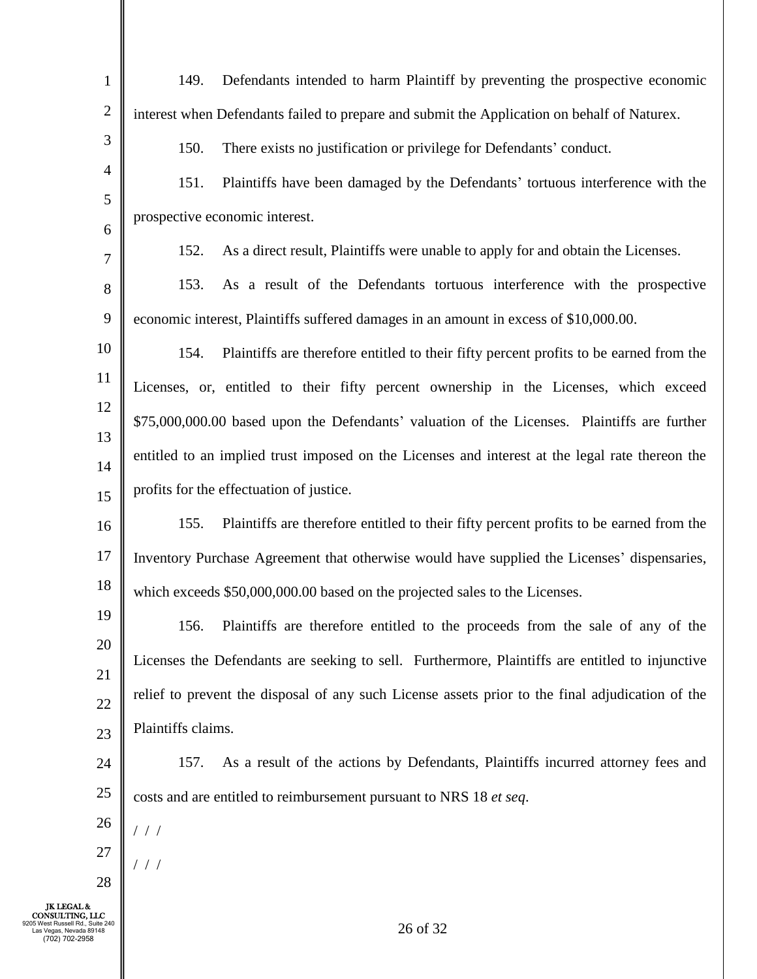| $\mathbf{1}$                                                                                                           | Defendants intended to harm Plaintiff by preventing the prospective economic<br>149.             |
|------------------------------------------------------------------------------------------------------------------------|--------------------------------------------------------------------------------------------------|
| $\mathbf{2}$                                                                                                           | interest when Defendants failed to prepare and submit the Application on behalf of Naturex.      |
| 3                                                                                                                      | 150.<br>There exists no justification or privilege for Defendants' conduct.                      |
| $\overline{4}$                                                                                                         | 151.<br>Plaintiffs have been damaged by the Defendants' tortuous interference with the           |
| $\mathfrak{S}$                                                                                                         | prospective economic interest.                                                                   |
| 6<br>7                                                                                                                 | As a direct result, Plaintiffs were unable to apply for and obtain the Licenses.<br>152.         |
| 8                                                                                                                      | 153.<br>As a result of the Defendants tortuous interference with the prospective                 |
| 9                                                                                                                      | economic interest, Plaintiffs suffered damages in an amount in excess of \$10,000.00.            |
| 10                                                                                                                     | Plaintiffs are therefore entitled to their fifty percent profits to be earned from the<br>154.   |
| 11                                                                                                                     | Licenses, or, entitled to their fifty percent ownership in the Licenses, which exceed            |
| 12                                                                                                                     | \$75,000,000.00 based upon the Defendants' valuation of the Licenses. Plaintiffs are further     |
| 13                                                                                                                     |                                                                                                  |
| 14                                                                                                                     | entitled to an implied trust imposed on the Licenses and interest at the legal rate thereon the  |
| 15                                                                                                                     | profits for the effectuation of justice.                                                         |
| 16                                                                                                                     | 155.<br>Plaintiffs are therefore entitled to their fifty percent profits to be earned from the   |
| 17                                                                                                                     | Inventory Purchase Agreement that otherwise would have supplied the Licenses' dispensaries,      |
| 18                                                                                                                     | which exceeds \$50,000,000.00 based on the projected sales to the Licenses.                      |
| 19                                                                                                                     | 156.<br>Plaintiffs are therefore entitled to the proceeds from the sale of any of the            |
| 20                                                                                                                     | Licenses the Defendants are seeking to sell. Furthermore, Plaintiffs are entitled to injunctive  |
| 21<br>$22\,$                                                                                                           | relief to prevent the disposal of any such License assets prior to the final adjudication of the |
| 23                                                                                                                     | Plaintiffs claims.                                                                               |
| 24                                                                                                                     | As a result of the actions by Defendants, Plaintiffs incurred attorney fees and<br>157.          |
| 25                                                                                                                     | costs and are entitled to reimbursement pursuant to NRS 18 et seq.                               |
| 26                                                                                                                     | 1/1                                                                                              |
| 27                                                                                                                     | ///                                                                                              |
| 28                                                                                                                     |                                                                                                  |
| <b>JK LEGAL &amp;</b><br>CONSULTING, LLC<br>05 West Russell Rd., Suite 240<br>as Vegas, Nevada 89148<br>(702) 702-2958 | 26 of 32                                                                                         |

I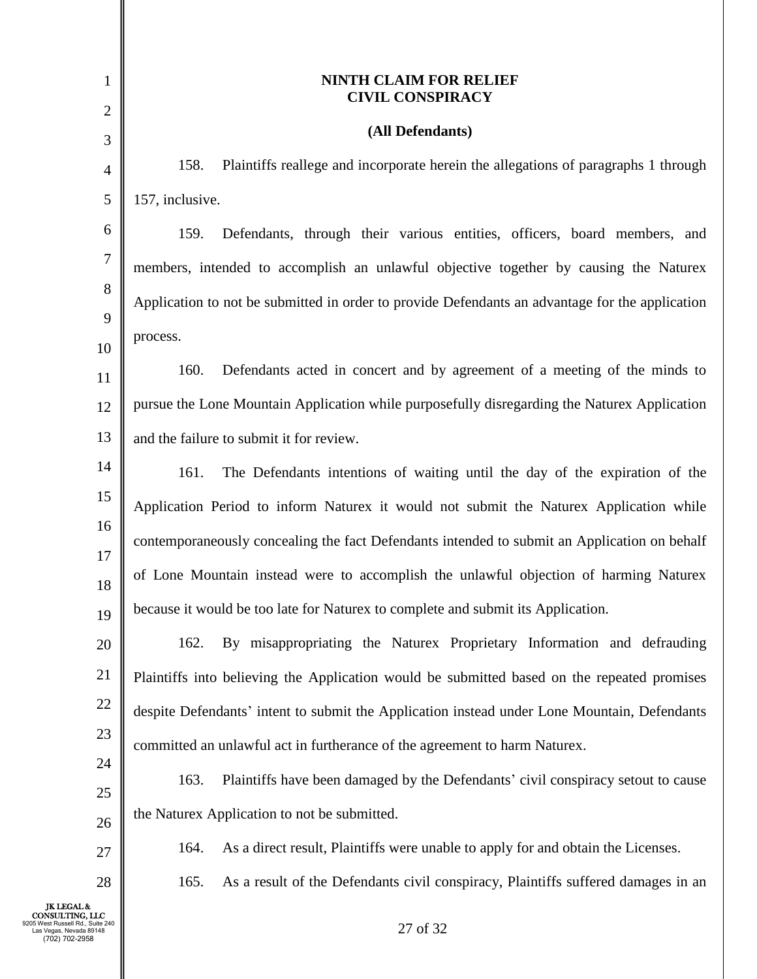| 1                                                                                                              | <b>NINTH CLAIM FOR RELIEF</b><br><b>CIVIL CONSPIRACY</b>                                        |
|----------------------------------------------------------------------------------------------------------------|-------------------------------------------------------------------------------------------------|
| 2                                                                                                              |                                                                                                 |
| 3                                                                                                              | (All Defendants)                                                                                |
| 4                                                                                                              | 158.<br>Plaintiffs reallege and incorporate herein the allegations of paragraphs 1 through      |
| 5                                                                                                              | 157, inclusive.                                                                                 |
| 6                                                                                                              | 159.<br>Defendants, through their various entities, officers, board members, and                |
| 7                                                                                                              | members, intended to accomplish an unlawful objective together by causing the Naturex           |
| 8                                                                                                              | Application to not be submitted in order to provide Defendants an advantage for the application |
| 9                                                                                                              | process.                                                                                        |
| 10                                                                                                             |                                                                                                 |
| 11                                                                                                             | 160.<br>Defendants acted in concert and by agreement of a meeting of the minds to               |
| 12                                                                                                             | pursue the Lone Mountain Application while purposefully disregarding the Naturex Application    |
| 13                                                                                                             | and the failure to submit it for review.                                                        |
| 14                                                                                                             | 161.<br>The Defendants intentions of waiting until the day of the expiration of the             |
| 15                                                                                                             | Application Period to inform Naturex it would not submit the Naturex Application while          |
| 16                                                                                                             | contemporaneously concealing the fact Defendants intended to submit an Application on behalf    |
| 17                                                                                                             |                                                                                                 |
| 18                                                                                                             | of Lone Mountain instead were to accomplish the unlawful objection of harming Naturex           |
| 19                                                                                                             | because it would be too late for Naturex to complete and submit its Application.                |
| 20                                                                                                             | By misappropriating the Naturex Proprietary Information and defrauding<br>162.                  |
| 21                                                                                                             | Plaintiffs into believing the Application would be submitted based on the repeated promises     |
| 22                                                                                                             | despite Defendants' intent to submit the Application instead under Lone Mountain, Defendants    |
| 23                                                                                                             | committed an unlawful act in furtherance of the agreement to harm Naturex.                      |
| 24                                                                                                             | 163.<br>Plaintiffs have been damaged by the Defendants' civil conspiracy setout to cause        |
| 25                                                                                                             |                                                                                                 |
| 26                                                                                                             | the Naturex Application to not be submitted.                                                    |
| 27                                                                                                             | As a direct result, Plaintiffs were unable to apply for and obtain the Licenses.<br>164.        |
| 28                                                                                                             | 165.<br>As a result of the Defendants civil conspiracy, Plaintiffs suffered damages in an       |
| <b>JK LEGAL &amp;</b><br>CONSULTING, LLC<br>Russell Rd., Suite 240<br>as Vegas, Nevada 89148<br>(702) 702-2958 | 27 of 32                                                                                        |

I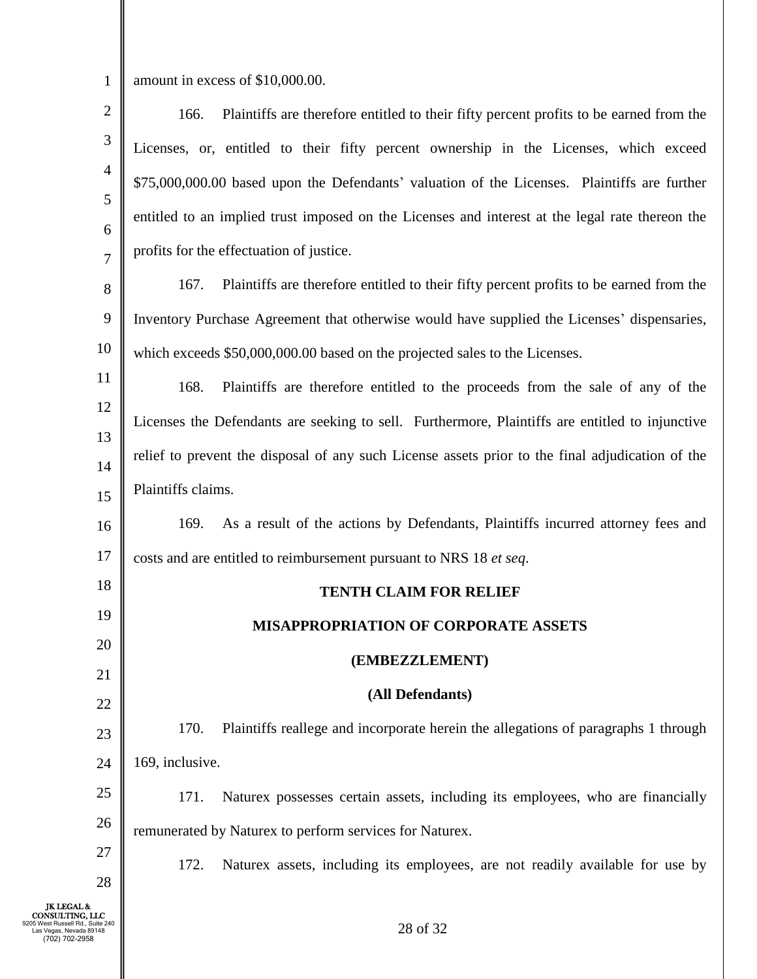1

amount in excess of \$10,000.00.

| $\sqrt{2}$                                                                                                              | Plaintiffs are therefore entitled to their fifty percent profits to be earned from the<br>166.   |
|-------------------------------------------------------------------------------------------------------------------------|--------------------------------------------------------------------------------------------------|
| $\mathfrak{Z}$                                                                                                          | Licenses, or, entitled to their fifty percent ownership in the Licenses, which exceed            |
| $\overline{4}$                                                                                                          | \$75,000,000.00 based upon the Defendants' valuation of the Licenses. Plaintiffs are further     |
| 5                                                                                                                       | entitled to an implied trust imposed on the Licenses and interest at the legal rate thereon the  |
| 6                                                                                                                       | profits for the effectuation of justice.                                                         |
| 7<br>8                                                                                                                  | 167.<br>Plaintiffs are therefore entitled to their fifty percent profits to be earned from the   |
| 9                                                                                                                       | Inventory Purchase Agreement that otherwise would have supplied the Licenses' dispensaries,      |
| 10                                                                                                                      |                                                                                                  |
| 11                                                                                                                      | which exceeds \$50,000,000.00 based on the projected sales to the Licenses.                      |
| 12                                                                                                                      | 168.<br>Plaintiffs are therefore entitled to the proceeds from the sale of any of the            |
| 13                                                                                                                      | Licenses the Defendants are seeking to sell. Furthermore, Plaintiffs are entitled to injunctive  |
| 14                                                                                                                      | relief to prevent the disposal of any such License assets prior to the final adjudication of the |
| 15                                                                                                                      | Plaintiffs claims.                                                                               |
| 16                                                                                                                      | As a result of the actions by Defendants, Plaintiffs incurred attorney fees and<br>169.          |
| 17                                                                                                                      | costs and are entitled to reimbursement pursuant to NRS 18 et seq.                               |
| 18                                                                                                                      | <b>TENTH CLAIM FOR RELIEF</b>                                                                    |
| 19                                                                                                                      | MISAPPROPRIATION OF CORPORATE ASSETS                                                             |
| 20                                                                                                                      |                                                                                                  |
| 21                                                                                                                      | (EMBEZZLEMENT)                                                                                   |
| 22                                                                                                                      | (All Defendants)                                                                                 |
| 23                                                                                                                      | 170.<br>Plaintiffs reallege and incorporate herein the allegations of paragraphs 1 through       |
| 24                                                                                                                      | 169, inclusive.                                                                                  |
| 25                                                                                                                      | 171.<br>Naturex possesses certain assets, including its employees, who are financially           |
| 26                                                                                                                      | remunerated by Naturex to perform services for Naturex.                                          |
| 27                                                                                                                      | 172.<br>Naturex assets, including its employees, are not readily available for use by            |
| 28                                                                                                                      |                                                                                                  |
| <b>JK LEGAL &amp;</b><br>CONSULTING, LLC<br>05 West Russell Rd., Suite 240<br>Las Vegas, Nevada 89148<br>(702) 702-2958 | 28 of 32                                                                                         |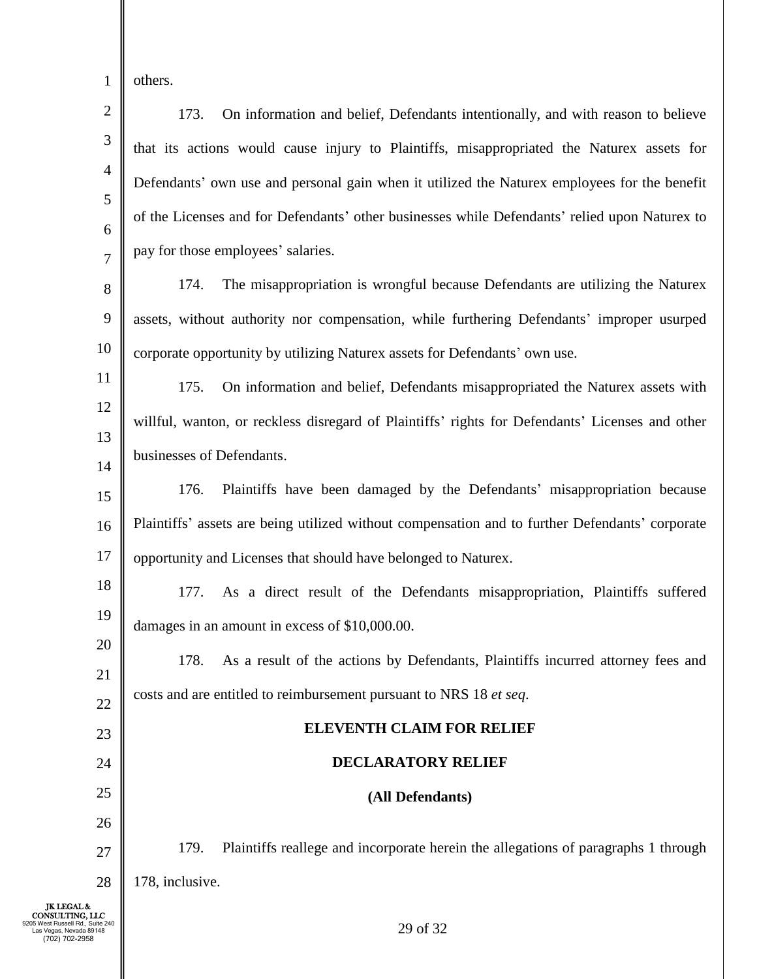1 others.

(702) 702-2958

2 3 4 5 6 7 8 9 10 11 12 13 14 15 16 17 18 19 20 21 22 23 24 25 26 27 28 JK LEGAL & CONSULTING, LLC 9205 West Russell Rd., Suite 240 Las Vegas, Nevada 89148 29 of 32 173. On information and belief, Defendants intentionally, and with reason to believe that its actions would cause injury to Plaintiffs, misappropriated the Naturex assets for Defendants' own use and personal gain when it utilized the Naturex employees for the benefit of the Licenses and for Defendants' other businesses while Defendants' relied upon Naturex to pay for those employees' salaries. 174. The misappropriation is wrongful because Defendants are utilizing the Naturex assets, without authority nor compensation, while furthering Defendants' improper usurped corporate opportunity by utilizing Naturex assets for Defendants' own use. 175. On information and belief, Defendants misappropriated the Naturex assets with willful, wanton, or reckless disregard of Plaintiffs' rights for Defendants' Licenses and other businesses of Defendants. 176. Plaintiffs have been damaged by the Defendants' misappropriation because Plaintiffs' assets are being utilized without compensation and to further Defendants' corporate opportunity and Licenses that should have belonged to Naturex. 177. As a direct result of the Defendants misappropriation, Plaintiffs suffered damages in an amount in excess of \$10,000.00. 178. As a result of the actions by Defendants, Plaintiffs incurred attorney fees and costs and are entitled to reimbursement pursuant to NRS 18 *et seq*. **ELEVENTH CLAIM FOR RELIEF DECLARATORY RELIEF (All Defendants)** 179. Plaintiffs reallege and incorporate herein the allegations of paragraphs 1 through 178, inclusive.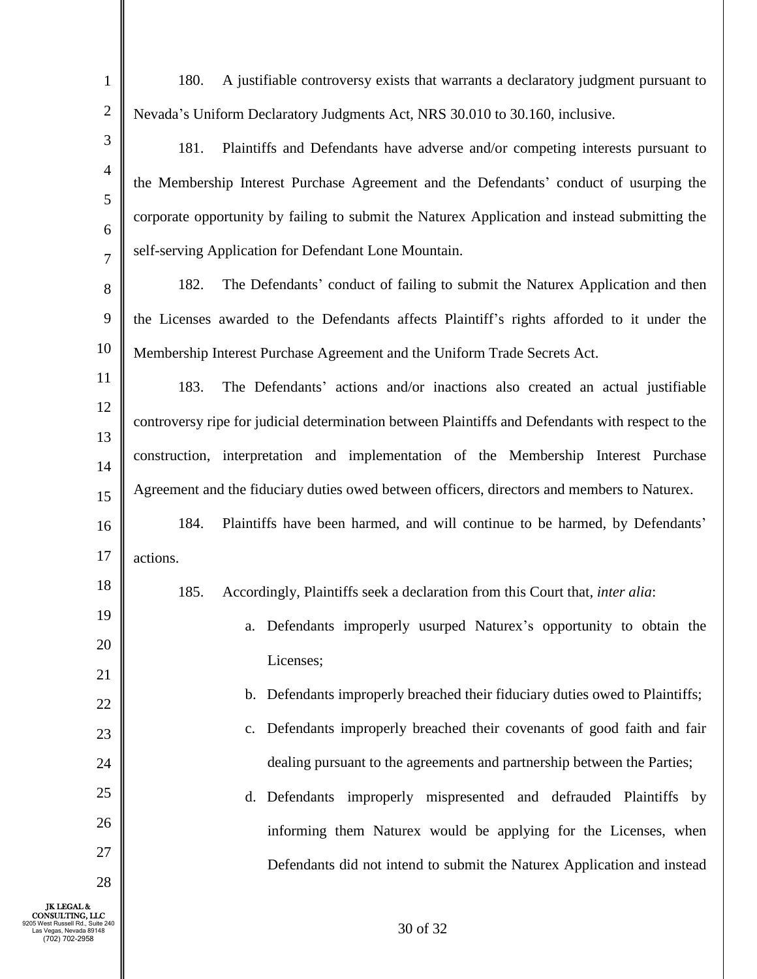1 2 3 4 5 6 7 8 9 10 11 12 13 14 15 16 17 18 19 20 21 22 23 24 25 26 27 28 JK LEGAL & CONSULTING, LLC 9205 West Russell Rd., Suite 240 Las Vegas, Nevada 89148 180. A justifiable controversy exists that warrants a declaratory judgment pursuant to Nevada's Uniform Declaratory Judgments Act, NRS 30.010 to 30.160, inclusive. 181. Plaintiffs and Defendants have adverse and/or competing interests pursuant to the Membership Interest Purchase Agreement and the Defendants' conduct of usurping the corporate opportunity by failing to submit the Naturex Application and instead submitting the self-serving Application for Defendant Lone Mountain. 182. The Defendants' conduct of failing to submit the Naturex Application and then the Licenses awarded to the Defendants affects Plaintiff's rights afforded to it under the Membership Interest Purchase Agreement and the Uniform Trade Secrets Act. 183. The Defendants' actions and/or inactions also created an actual justifiable controversy ripe for judicial determination between Plaintiffs and Defendants with respect to the construction, interpretation and implementation of the Membership Interest Purchase Agreement and the fiduciary duties owed between officers, directors and members to Naturex. 184. Plaintiffs have been harmed, and will continue to be harmed, by Defendants' actions. 185. Accordingly, Plaintiffs seek a declaration from this Court that, *inter alia*: a. Defendants improperly usurped Naturex's opportunity to obtain the Licenses; b. Defendants improperly breached their fiduciary duties owed to Plaintiffs; c. Defendants improperly breached their covenants of good faith and fair dealing pursuant to the agreements and partnership between the Parties; d. Defendants improperly mispresented and defrauded Plaintiffs by informing them Naturex would be applying for the Licenses, when Defendants did not intend to submit the Naturex Application and instead

(702) 702-2958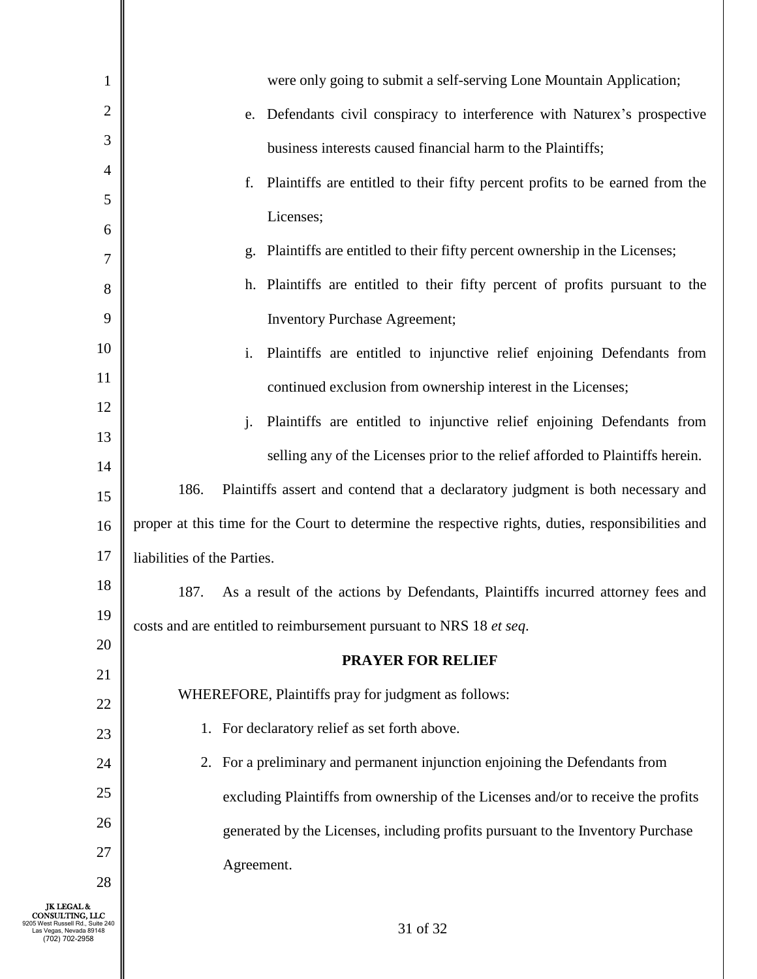| 1                                                                                                               | were only going to submit a self-serving Lone Mountain Application;                                |
|-----------------------------------------------------------------------------------------------------------------|----------------------------------------------------------------------------------------------------|
| 2                                                                                                               | Defendants civil conspiracy to interference with Naturex's prospective<br>e.                       |
| 3                                                                                                               | business interests caused financial harm to the Plaintiffs;                                        |
| $\overline{4}$                                                                                                  | Plaintiffs are entitled to their fifty percent profits to be earned from the<br>f.                 |
| 5                                                                                                               | Licenses;                                                                                          |
| 6                                                                                                               | Plaintiffs are entitled to their fifty percent ownership in the Licenses;<br>g.                    |
| 7                                                                                                               |                                                                                                    |
| 8                                                                                                               | h. Plaintiffs are entitled to their fifty percent of profits pursuant to the                       |
| 9                                                                                                               | <b>Inventory Purchase Agreement;</b>                                                               |
| 10                                                                                                              | Plaintiffs are entitled to injunctive relief enjoining Defendants from<br>i.                       |
| 11                                                                                                              | continued exclusion from ownership interest in the Licenses;                                       |
| 12                                                                                                              | Plaintiffs are entitled to injunctive relief enjoining Defendants from<br>j.                       |
| 13                                                                                                              | selling any of the Licenses prior to the relief afforded to Plaintiffs herein.                     |
| 14                                                                                                              |                                                                                                    |
| 15                                                                                                              | 186.<br>Plaintiffs assert and contend that a declaratory judgment is both necessary and            |
| 16                                                                                                              | proper at this time for the Court to determine the respective rights, duties, responsibilities and |
| 17                                                                                                              | liabilities of the Parties.                                                                        |
| 18                                                                                                              | 187.<br>As a result of the actions by Defendants, Plaintiffs incurred attorney fees and            |
| 19                                                                                                              | costs and are entitled to reimbursement pursuant to NRS 18 et seq.                                 |
| 20                                                                                                              | <b>PRAYER FOR RELIEF</b>                                                                           |
| 21                                                                                                              | WHEREFORE, Plaintiffs pray for judgment as follows:                                                |
| 22                                                                                                              |                                                                                                    |
| 23                                                                                                              | 1. For declaratory relief as set forth above.                                                      |
| 24                                                                                                              | For a preliminary and permanent injunction enjoining the Defendants from<br>2.                     |
| 25                                                                                                              | excluding Plaintiffs from ownership of the Licenses and/or to receive the profits                  |
| 26                                                                                                              | generated by the Licenses, including profits pursuant to the Inventory Purchase                    |
| 27                                                                                                              | Agreement.                                                                                         |
| 28                                                                                                              |                                                                                                    |
| <b>JK LEGAL &amp;</b><br>CONSULTING. LLC<br>Russell Rd., Suite 240<br>as Vegas, Nevada 89148.<br>(702) 702-2958 | 31 of 32                                                                                           |